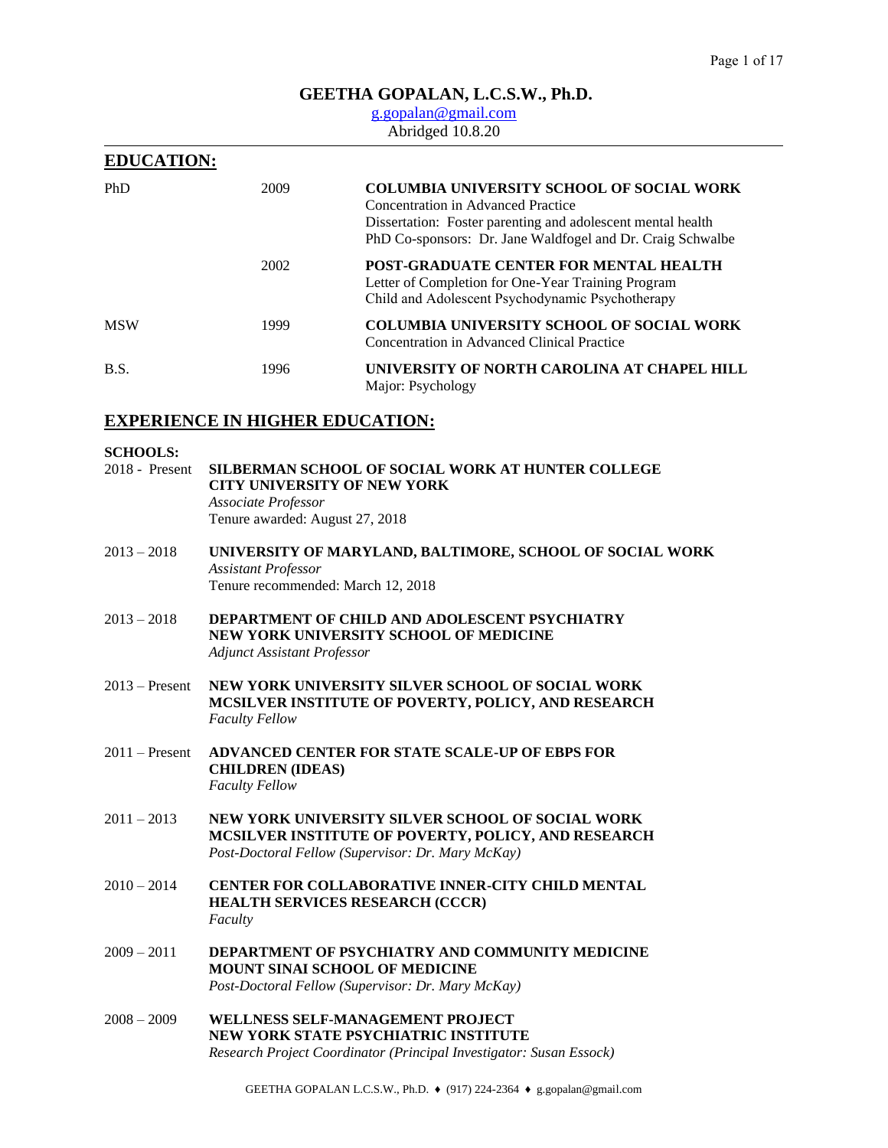# **GEETHA GOPALAN, L.C.S.W., Ph.D.**

# [g.gopalan@gmail.com](mailto:g.gopalan@gmail.com)

# Abridged 10.8.20

| <b>EDUCATION:</b> |      |                                                                                                                                                                                                                     |
|-------------------|------|---------------------------------------------------------------------------------------------------------------------------------------------------------------------------------------------------------------------|
| PhD               | 2009 | <b>COLUMBIA UNIVERSITY SCHOOL OF SOCIAL WORK</b><br>Concentration in Advanced Practice<br>Dissertation: Foster parenting and adolescent mental health<br>PhD Co-sponsors: Dr. Jane Waldfogel and Dr. Craig Schwalbe |
|                   | 2002 | <b>POST-GRADUATE CENTER FOR MENTAL HEALTH</b><br>Letter of Completion for One-Year Training Program<br>Child and Adolescent Psychodynamic Psychotherapy                                                             |
| <b>MSW</b>        | 1999 | <b>COLUMBIA UNIVERSITY SCHOOL OF SOCIAL WORK</b><br>Concentration in Advanced Clinical Practice                                                                                                                     |
| B.S.              | 1996 | UNIVERSITY OF NORTH CAROLINA AT CHAPEL HILL<br>Major: Psychology                                                                                                                                                    |

# **EXPERIENCE IN HIGHER EDUCATION:**

### **SCHOOLS:**

| UNIVERSITY OF MARYLAND, BALTIMORE, SCHOOL OF SOCIAL WORK                                                                                                     |
|--------------------------------------------------------------------------------------------------------------------------------------------------------------|
|                                                                                                                                                              |
| <b>DEPARTMENT OF CHILD AND ADOLESCENT PSYCHIATRY</b><br>NEW YORK UNIVERSITY SCHOOL OF MEDICINE                                                               |
| <b>NEW YORK UNIVERSITY SILVER SCHOOL OF SOCIAL WORK</b><br>MCSILVER INSTITUTE OF POVERTY, POLICY, AND RESEARCH                                               |
| ADVANCED CENTER FOR STATE SCALE-UP OF EBPS FOR                                                                                                               |
| NEW YORK UNIVERSITY SILVER SCHOOL OF SOCIAL WORK<br>MCSILVER INSTITUTE OF POVERTY, POLICY, AND RESEARCH<br>Post-Doctoral Fellow (Supervisor: Dr. Mary McKay) |
| <b>CENTER FOR COLLABORATIVE INNER-CITY CHILD MENTAL</b><br>HEALTH SERVICES RESEARCH (CCCR)                                                                   |
| Tenure recommended: March 12, 2018                                                                                                                           |

- 2009 2011 **DEPARTMENT OF PSYCHIATRY AND COMMUNITY MEDICINE MOUNT SINAI SCHOOL OF MEDICINE** *Post-Doctoral Fellow (Supervisor: Dr. Mary McKay)*
- 2008 2009 **WELLNESS SELF-MANAGEMENT PROJECT NEW YORK STATE PSYCHIATRIC INSTITUTE** *Research Project Coordinator (Principal Investigator: Susan Essock)*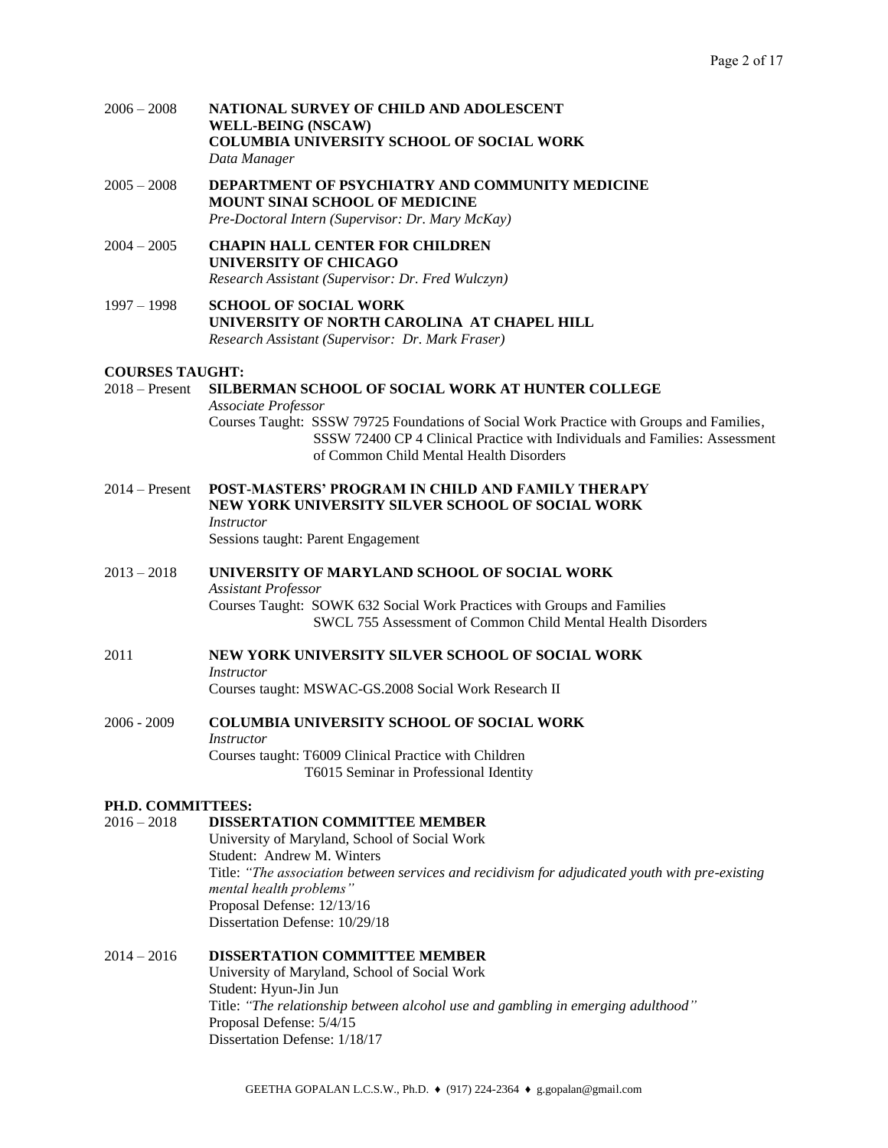2006 – 2008 **NATIONAL SURVEY OF CHILD AND ADOLESCENT WELL-BEING (NSCAW) COLUMBIA UNIVERSITY SCHOOL OF SOCIAL WORK** *Data Manager* 

2005 – 2008 **DEPARTMENT OF PSYCHIATRY AND COMMUNITY MEDICINE MOUNT SINAI SCHOOL OF MEDICINE** *Pre-Doctoral Intern (Supervisor: Dr. Mary McKay)*

- 2004 2005 **CHAPIN HALL CENTER FOR CHILDREN UNIVERSITY OF CHICAGO** *Research Assistant (Supervisor: Dr. Fred Wulczyn)*
- 1997 1998 **SCHOOL OF SOCIAL WORK UNIVERSITY OF NORTH CAROLINA AT CHAPEL HILL** *Research Assistant (Supervisor: Dr. Mark Fraser)*

### **COURSES TAUGHT:**

2018 – Present **SILBERMAN SCHOOL OF SOCIAL WORK AT HUNTER COLLEGE** *Associate Professor* Courses Taught: SSSW 79725 Foundations of Social Work Practice with Groups and Families, SSSW 72400 CP 4 Clinical Practice with Individuals and Families: Assessment of Common Child Mental Health Disorders

- 2014 Present **POST-MASTERS' PROGRAM IN CHILD AND FAMILY THERAPY NEW YORK UNIVERSITY SILVER SCHOOL OF SOCIAL WORK** *Instructor* Sessions taught: Parent Engagement
- 2013 2018 **UNIVERSITY OF MARYLAND SCHOOL OF SOCIAL WORK** *Assistant Professor* Courses Taught: SOWK 632 Social Work Practices with Groups and Families SWCL 755 Assessment of Common Child Mental Health Disorders
- 2011 **NEW YORK UNIVERSITY SILVER SCHOOL OF SOCIAL WORK**  *Instructor* Courses taught: MSWAC-GS.2008 Social Work Research II
- 2006 2009 **COLUMBIA UNIVERSITY SCHOOL OF SOCIAL WORK** *Instructor* Courses taught: T6009 Clinical Practice with Children T6015 Seminar in Professional Identity

# **PH.D. COMMITTEES:**

# 2016 – 2018 **DISSERTATION COMMITTEE MEMBER**

University of Maryland, School of Social Work Student: Andrew M. Winters Title: *"The association between services and recidivism for adjudicated youth with pre-existing mental health problems"* Proposal Defense: 12/13/16 Dissertation Defense: 10/29/18

# 2014 – 2016 **DISSERTATION COMMITTEE MEMBER**

University of Maryland, School of Social Work Student: Hyun-Jin Jun Title: *"The relationship between alcohol use and gambling in emerging adulthood"* Proposal Defense: 5/4/15 Dissertation Defense: 1/18/17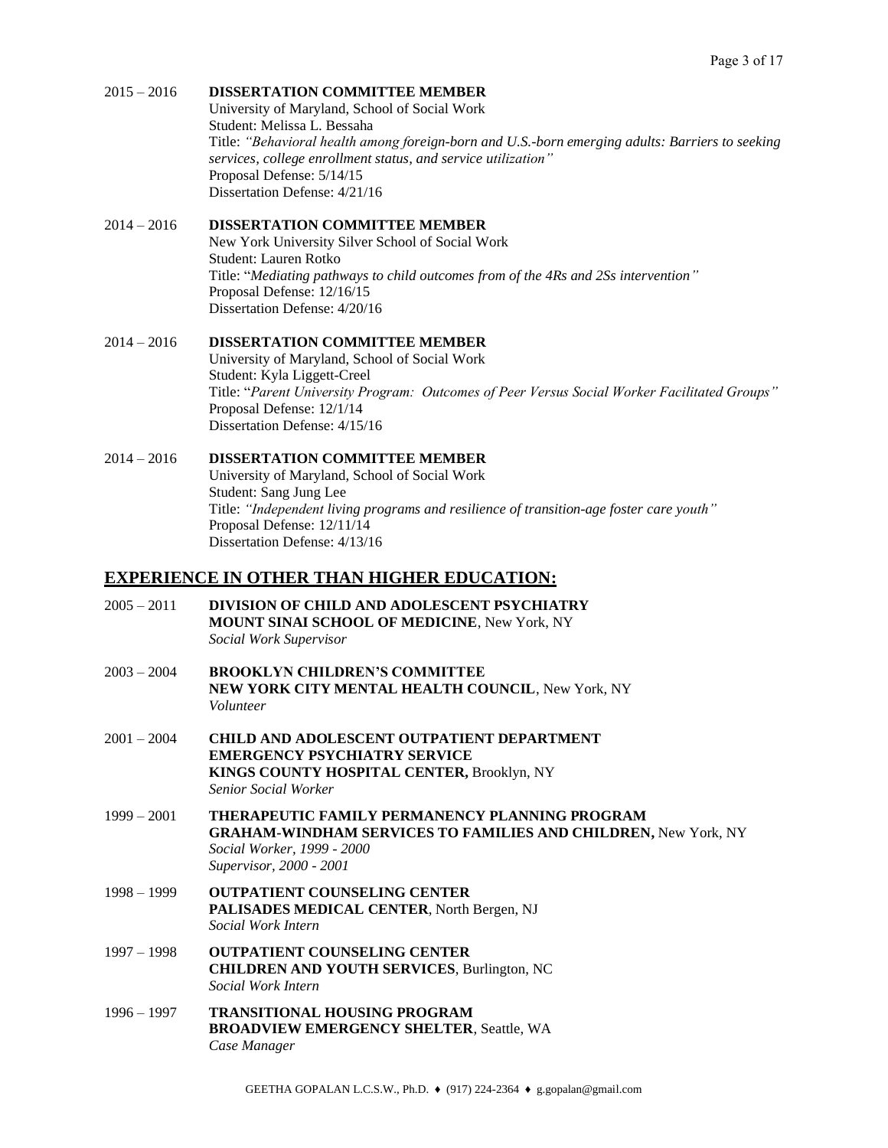# 2015 – 2016 **DISSERTATION COMMITTEE MEMBER**

University of Maryland, School of Social Work Student: Melissa L. Bessaha Title: *"Behavioral health among foreign-born and U.S.-born emerging adults: Barriers to seeking services, college enrollment status, and service utilization"* Proposal Defense: 5/14/15 Dissertation Defense: 4/21/16

## 2014 – 2016 **DISSERTATION COMMITTEE MEMBER**

New York University Silver School of Social Work Student: Lauren Rotko Title: "*Mediating pathways to child outcomes from of the 4Rs and 2Ss intervention"* Proposal Defense: 12/16/15 Dissertation Defense: 4/20/16

# 2014 – 2016 **DISSERTATION COMMITTEE MEMBER**

University of Maryland, School of Social Work Student: Kyla Liggett-Creel Title: "*Parent University Program: Outcomes of Peer Versus Social Worker Facilitated Groups"* Proposal Defense: 12/1/14 Dissertation Defense: 4/15/16

# 2014 – 2016 **DISSERTATION COMMITTEE MEMBER**

University of Maryland, School of Social Work Student: Sang Jung Lee Title: *"Independent living programs and resilience of transition-age foster care youth"* Proposal Defense: 12/11/14 Dissertation Defense: 4/13/16

# **EXPERIENCE IN OTHER THAN HIGHER EDUCATION:**

| $2005 - 2011$ | DIVISION OF CHILD AND ADOLESCENT PSYCHIATRY<br>MOUNT SINAI SCHOOL OF MEDICINE, New York, NY<br>Social Work Supervisor                                                                   |
|---------------|-----------------------------------------------------------------------------------------------------------------------------------------------------------------------------------------|
| $2003 - 2004$ | <b>BROOKLYN CHILDREN'S COMMITTEE</b><br>NEW YORK CITY MENTAL HEALTH COUNCIL, New York, NY<br>Volunteer                                                                                  |
| $2001 - 2004$ | <b>CHILD AND ADOLESCENT OUTPATIENT DEPARTMENT</b><br><b>EMERGENCY PSYCHIATRY SERVICE</b><br>KINGS COUNTY HOSPITAL CENTER, Brooklyn, NY<br><b>Senior Social Worker</b>                   |
| $1999 - 2001$ | <b>THERAPEUTIC FAMILY PERMANENCY PLANNING PROGRAM</b><br><b>GRAHAM-WINDHAM SERVICES TO FAMILIES AND CHILDREN, New York, NY</b><br>Social Worker, 1999 - 2000<br>Supervisor, 2000 - 2001 |
| $1998 - 1999$ | <b>OUTPATIENT COUNSELING CENTER</b><br>PALISADES MEDICAL CENTER, North Bergen, NJ<br><b>Social Work Intern</b>                                                                          |
| $1997 - 1998$ | <b>OUTPATIENT COUNSELING CENTER</b><br><b>CHILDREN AND YOUTH SERVICES, Burlington, NC</b><br>Social Work Intern                                                                         |
| $1996 - 1997$ | <b>TRANSITIONAL HOUSING PROGRAM</b><br><b>BROADVIEW EMERGENCY SHELTER, Seattle, WA</b><br>Case Manager                                                                                  |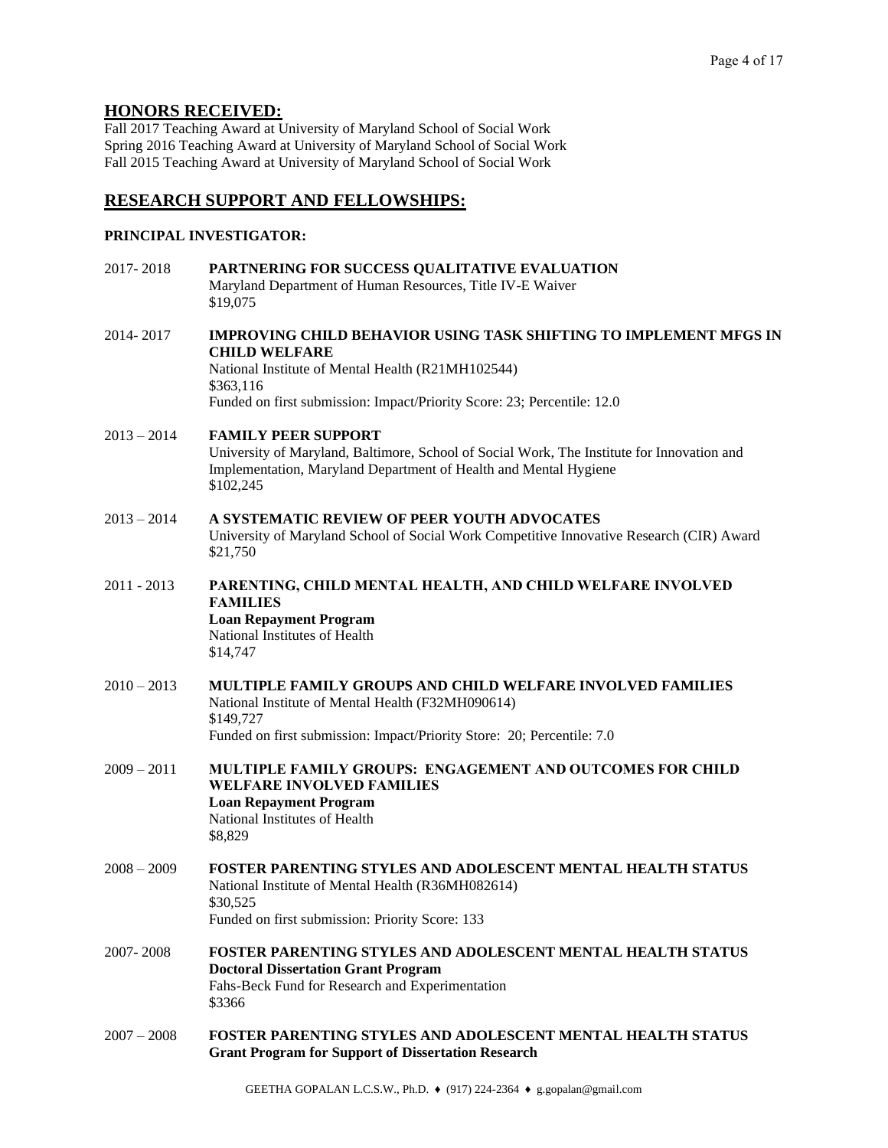# **HONORS RECEIVED:**

Fall 2017 Teaching Award at University of Maryland School of Social Work Spring 2016 Teaching Award at University of Maryland School of Social Work Fall 2015 Teaching Award at University of Maryland School of Social Work

# **RESEARCH SUPPORT AND FELLOWSHIPS:**

# **PRINCIPAL INVESTIGATOR:**

| 2017-2018     | PARTNERING FOR SUCCESS QUALITATIVE EVALUATION<br>Maryland Department of Human Resources, Title IV-E Waiver<br>\$19,075                                                                                                                        |
|---------------|-----------------------------------------------------------------------------------------------------------------------------------------------------------------------------------------------------------------------------------------------|
| 2014-2017     | <b>IMPROVING CHILD BEHAVIOR USING TASK SHIFTING TO IMPLEMENT MFGS IN</b><br><b>CHILD WELFARE</b><br>National Institute of Mental Health (R21MH102544)<br>\$363,116<br>Funded on first submission: Impact/Priority Score: 23; Percentile: 12.0 |
| $2013 - 2014$ | <b>FAMILY PEER SUPPORT</b><br>University of Maryland, Baltimore, School of Social Work, The Institute for Innovation and<br>Implementation, Maryland Department of Health and Mental Hygiene<br>\$102,245                                     |
| $2013 - 2014$ | A SYSTEMATIC REVIEW OF PEER YOUTH ADVOCATES<br>University of Maryland School of Social Work Competitive Innovative Research (CIR) Award<br>\$21,750                                                                                           |
| $2011 - 2013$ | PARENTING, CHILD MENTAL HEALTH, AND CHILD WELFARE INVOLVED<br><b>FAMILIES</b><br><b>Loan Repayment Program</b><br>National Institutes of Health<br>\$14,747                                                                                   |
| $2010 - 2013$ | <b>MULTIPLE FAMILY GROUPS AND CHILD WELFARE INVOLVED FAMILIES</b><br>National Institute of Mental Health (F32MH090614)<br>\$149,727<br>Funded on first submission: Impact/Priority Store: 20; Percentile: 7.0                                 |
| $2009 - 2011$ | <b>MULTIPLE FAMILY GROUPS: ENGAGEMENT AND OUTCOMES FOR CHILD</b><br><b>WELFARE INVOLVED FAMILIES</b><br><b>Loan Repayment Program</b><br>National Institutes of Health<br>\$8,829                                                             |
| $2008 - 2009$ | <b>FOSTER PARENTING STYLES AND ADOLESCENT MENTAL HEALTH STATUS</b><br>National Institute of Mental Health (R36MH082614)<br>\$30,525<br>Funded on first submission: Priority Score: 133                                                        |
| 2007-2008     | FOSTER PARENTING STYLES AND ADOLESCENT MENTAL HEALTH STATUS<br><b>Doctoral Dissertation Grant Program</b><br>Fahs-Beck Fund for Research and Experimentation<br>\$3366                                                                        |
| $2007 - 2008$ | <b>FOSTER PARENTING STYLES AND ADOLESCENT MENTAL HEALTH STATUS</b><br><b>Grant Program for Support of Dissertation Research</b>                                                                                                               |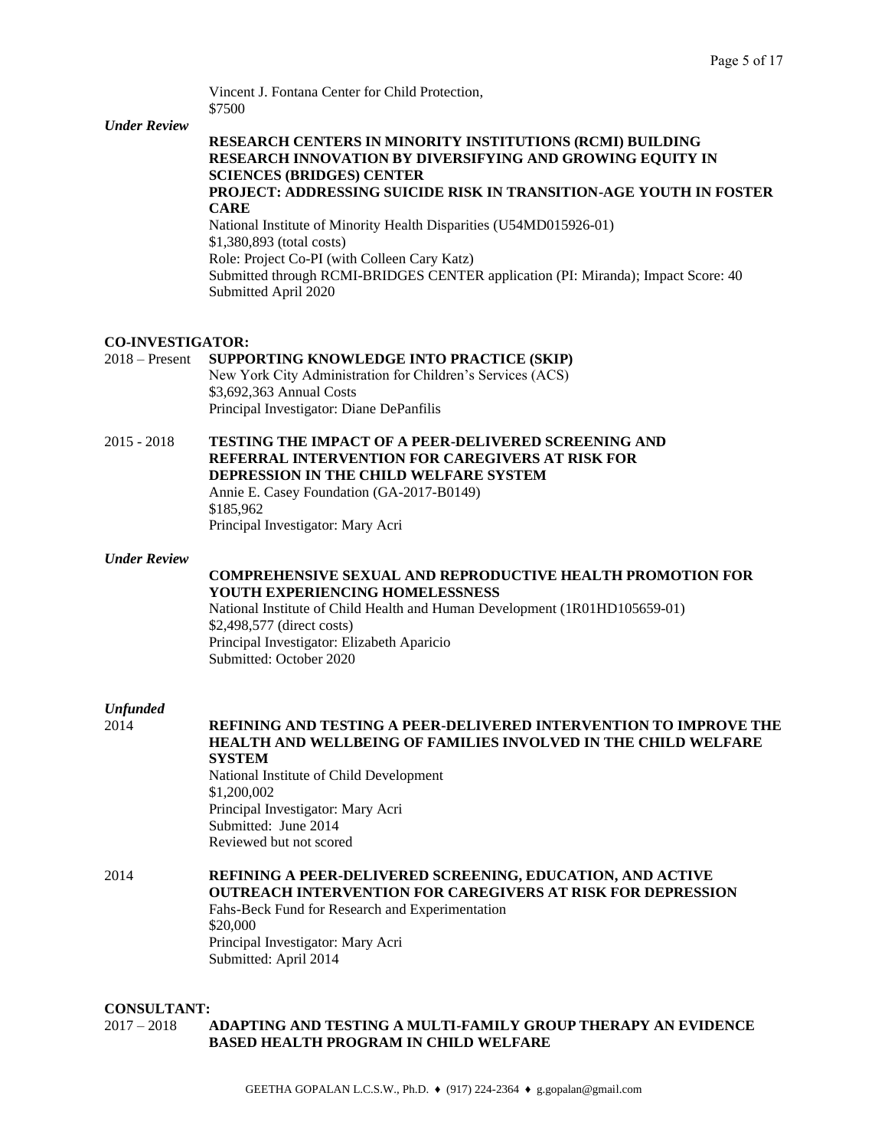Vincent J. Fontana Center for Child Protection, \$7500

#### *Under Review*

# **RESEARCH CENTERS IN MINORITY INSTITUTIONS (RCMI) BUILDING RESEARCH INNOVATION BY DIVERSIFYING AND GROWING EQUITY IN SCIENCES (BRIDGES) CENTER**

## **PROJECT: ADDRESSING SUICIDE RISK IN TRANSITION-AGE YOUTH IN FOSTER CARE**

National Institute of Minority Health Disparities (U54MD015926-01) \$1,380,893 (total costs) Role: Project Co-PI (with Colleen Cary Katz) Submitted through RCMI-BRIDGES CENTER application (PI: Miranda); Impact Score: 40 Submitted April 2020

### **CO-INVESTIGATOR:**

# 2018 – Present **SUPPORTING KNOWLEDGE INTO PRACTICE (SKIP)**

New York City Administration for Children's Services (ACS) \$3,692,363 Annual Costs Principal Investigator: Diane DePanfilis

2015 - 2018 **TESTING THE IMPACT OF A PEER-DELIVERED SCREENING AND REFERRAL INTERVENTION FOR CAREGIVERS AT RISK FOR DEPRESSION IN THE CHILD WELFARE SYSTEM** Annie E. Casey Foundation (GA-2017-B0149) \$185,962 Principal Investigator: Mary Acri

### *Under Review*

# **COMPREHENSIVE SEXUAL AND REPRODUCTIVE HEALTH PROMOTION FOR YOUTH EXPERIENCING HOMELESSNESS**

National Institute of Child Health and Human Development (1R01HD105659-01) \$2,498,577 (direct costs) Principal Investigator: Elizabeth Aparicio Submitted: October 2020

# *Unfunded*

# 2014 **REFINING AND TESTING A PEER-DELIVERED INTERVENTION TO IMPROVE THE HEALTH AND WELLBEING OF FAMILIES INVOLVED IN THE CHILD WELFARE SYSTEM** National Institute of Child Development \$1,200,002 Principal Investigator: Mary Acri Submitted: June 2014 Reviewed but not scored

# 2014 **REFINING A PEER-DELIVERED SCREENING, EDUCATION, AND ACTIVE OUTREACH INTERVENTION FOR CAREGIVERS AT RISK FOR DEPRESSION**

Fahs-Beck Fund for Research and Experimentation \$20,000 Principal Investigator: Mary Acri Submitted: April 2014

#### **CONSULTANT:**

# 2017 – 2018 **ADAPTING AND TESTING A MULTI-FAMILY GROUP THERAPY AN EVIDENCE BASED HEALTH PROGRAM IN CHILD WELFARE**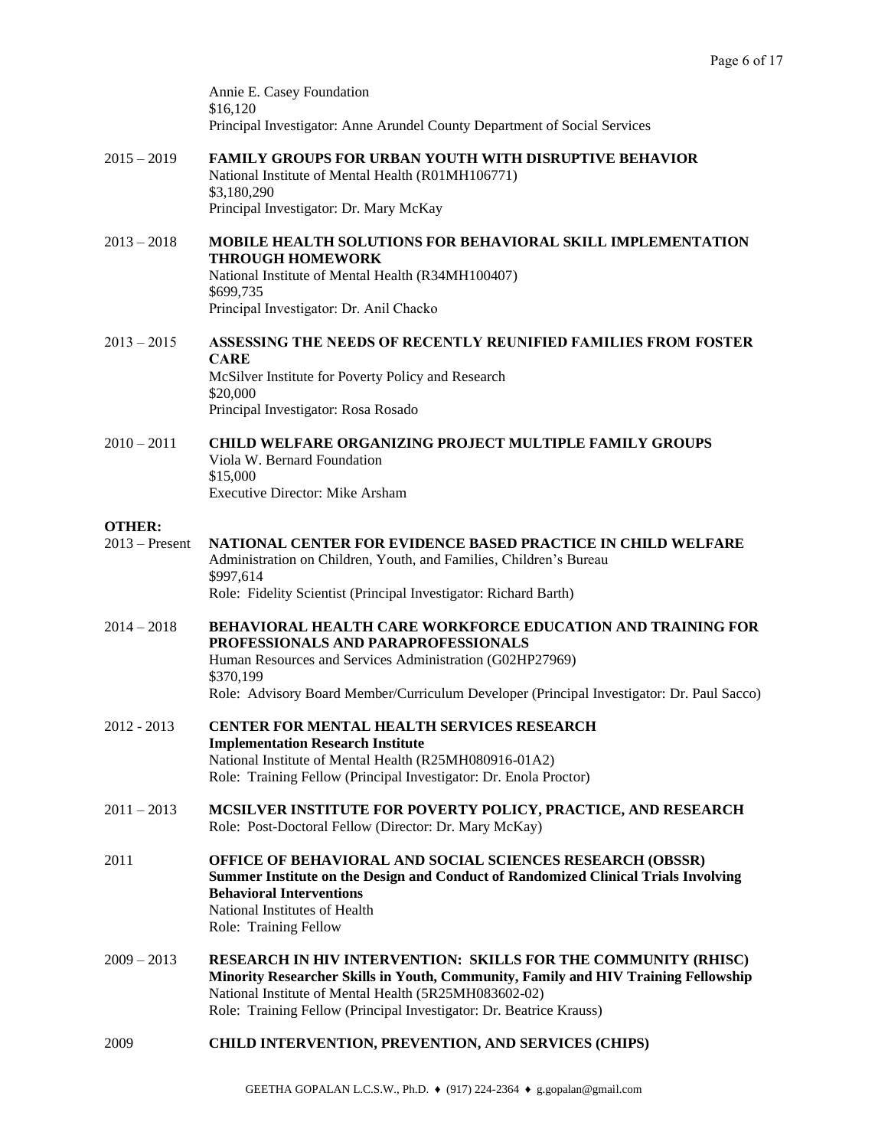Annie E. Casey Foundation \$16,120 Principal Investigator: Anne Arundel County Department of Social Services

- 2015 2019 **FAMILY GROUPS FOR URBAN YOUTH WITH DISRUPTIVE BEHAVIOR** National Institute of Mental Health (R01MH106771) \$3,180,290 Principal Investigator: Dr. Mary McKay
- 2013 2018 **MOBILE HEALTH SOLUTIONS FOR BEHAVIORAL SKILL IMPLEMENTATION THROUGH HOMEWORK** National Institute of Mental Health (R34MH100407) \$699,735 Principal Investigator: Dr. Anil Chacko
- 2013 2015 **ASSESSING THE NEEDS OF RECENTLY REUNIFIED FAMILIES FROM FOSTER CARE** McSilver Institute for Poverty Policy and Research \$20,000 Principal Investigator: Rosa Rosado
- 2010 2011 **CHILD WELFARE ORGANIZING PROJECT MULTIPLE FAMILY GROUPS** Viola W. Bernard Foundation \$15,000 Executive Director: Mike Arsham

### **OTHER:**

- 2013 Present **NATIONAL CENTER FOR EVIDENCE BASED PRACTICE IN CHILD WELFARE** Administration on Children, Youth, and Families, Children's Bureau \$997,614 Role: Fidelity Scientist (Principal Investigator: Richard Barth)
- 2014 2018 **BEHAVIORAL HEALTH CARE WORKFORCE EDUCATION AND TRAINING FOR PROFESSIONALS AND PARAPROFESSIONALS** Human Resources and Services Administration (G02HP27969) \$370,199 Role: Advisory Board Member/Curriculum Developer (Principal Investigator: Dr. Paul Sacco)
- 2012 2013 **CENTER FOR MENTAL HEALTH SERVICES RESEARCH Implementation Research Institute** National Institute of Mental Health (R25MH080916-01A2) Role: Training Fellow (Principal Investigator: Dr. Enola Proctor)
- 2011 2013 **MCSILVER INSTITUTE FOR POVERTY POLICY, PRACTICE, AND RESEARCH** Role: Post-Doctoral Fellow (Director: Dr. Mary McKay)
- 2011 **OFFICE OF BEHAVIORAL AND SOCIAL SCIENCES RESEARCH (OBSSR) Summer Institute on the Design and Conduct of Randomized Clinical Trials Involving Behavioral Interventions** National Institutes of Health Role: Training Fellow
- 2009 2013 **RESEARCH IN HIV INTERVENTION: SKILLS FOR THE COMMUNITY (RHISC) Minority Researcher Skills in Youth, Community, Family and HIV Training Fellowship** National Institute of Mental Health (5R25MH083602-02) Role: Training Fellow (Principal Investigator: Dr. Beatrice Krauss)
- 2009 **CHILD INTERVENTION, PREVENTION, AND SERVICES (CHIPS)**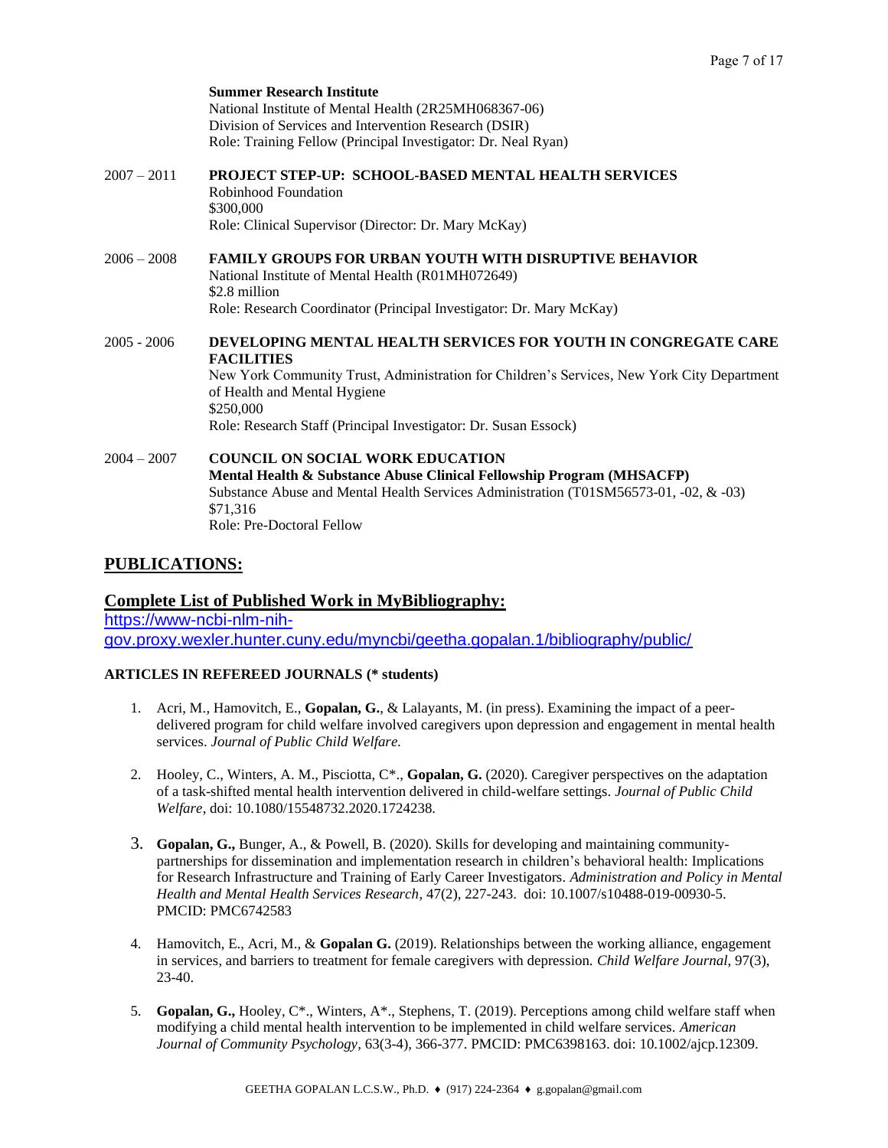|               | <b>Summer Research Institute</b><br>National Institute of Mental Health (2R25MH068367-06)<br>Division of Services and Intervention Research (DSIR)<br>Role: Training Fellow (Principal Investigator: Dr. Neal Ryan)                                                                               |
|---------------|---------------------------------------------------------------------------------------------------------------------------------------------------------------------------------------------------------------------------------------------------------------------------------------------------|
| $2007 - 2011$ | <b>PROJECT STEP-UP: SCHOOL-BASED MENTAL HEALTH SERVICES</b><br>Robinhood Foundation<br>\$300,000<br>Role: Clinical Supervisor (Director: Dr. Mary McKay)                                                                                                                                          |
| $2006 - 2008$ | <b>FAMILY GROUPS FOR URBAN YOUTH WITH DISRUPTIVE BEHAVIOR</b><br>National Institute of Mental Health (R01MH072649)<br>\$2.8 million<br>Role: Research Coordinator (Principal Investigator: Dr. Mary McKay)                                                                                        |
| 2005 - 2006   | DEVELOPING MENTAL HEALTH SERVICES FOR YOUTH IN CONGREGATE CARE<br><b>FACILITIES</b><br>New York Community Trust, Administration for Children's Services, New York City Department<br>of Health and Mental Hygiene<br>\$250,000<br>Role: Research Staff (Principal Investigator: Dr. Susan Essock) |
| $2004 - 2007$ | <b>COUNCIL ON SOCIAL WORK EDUCATION</b><br>Mental Health & Substance Abuse Clinical Fellowship Program (MHSACFP)<br>Substance Abuse and Mental Health Services Administration (T01SM56573-01, -02, & -03)<br>\$71,316<br>Role: Pre-Doctoral Fellow                                                |

# **PUBLICATIONS:**

**Complete List of Published Work in MyBibliography:**  [https://www-ncbi-nlm-nih](https://www-ncbi-nlm-nih-gov.proxy.wexler.hunter.cuny.edu/myncbi/geetha.gopalan.1/bibliography/public/)[gov.proxy.wexler.hunter.cuny.edu/myncbi/geetha.gopalan.1/bibliography/public/](https://www-ncbi-nlm-nih-gov.proxy.wexler.hunter.cuny.edu/myncbi/geetha.gopalan.1/bibliography/public/)

# **ARTICLES IN REFEREED JOURNALS (\* students)**

- 1. Acri, M., Hamovitch, E., **Gopalan, G.**, & Lalayants, M. (in press). Examining the impact of a peerdelivered program for child welfare involved caregivers upon depression and engagement in mental health services. *Journal of Public Child Welfare.*
- 2. Hooley, C., Winters, A. M., Pisciotta, C\*., **Gopalan, G.** (2020). Caregiver perspectives on the adaptation of a task-shifted mental health intervention delivered in child-welfare settings. *Journal of Public Child Welfare*, doi: 10.1080/15548732.2020.1724238.
- 3. **Gopalan, G.,** Bunger, A., & Powell, B. (2020). Skills for developing and maintaining communitypartnerships for dissemination and implementation research in children's behavioral health: Implications for Research Infrastructure and Training of Early Career Investigators. *Administration and Policy in Mental Health and Mental Health Services Research,* 47(2), 227-243. doi: 10.1007/s10488-019-00930-5. PMCID: PMC6742583
- 4. Hamovitch, E., Acri, M., & **Gopalan G.** (2019). Relationships between the working alliance, engagement in services, and barriers to treatment for female caregivers with depression. *Child Welfare Journal*, 97(3), 23-40.
- 5. **Gopalan, G.,** Hooley, C\*., Winters, A\*., Stephens, T. (2019). Perceptions among child welfare staff when modifying a child mental health intervention to be implemented in child welfare services. *American Journal of Community Psychology,* 63(3-4), 366-377. PMCID: PMC6398163. doi: 10.1002/ajcp.12309.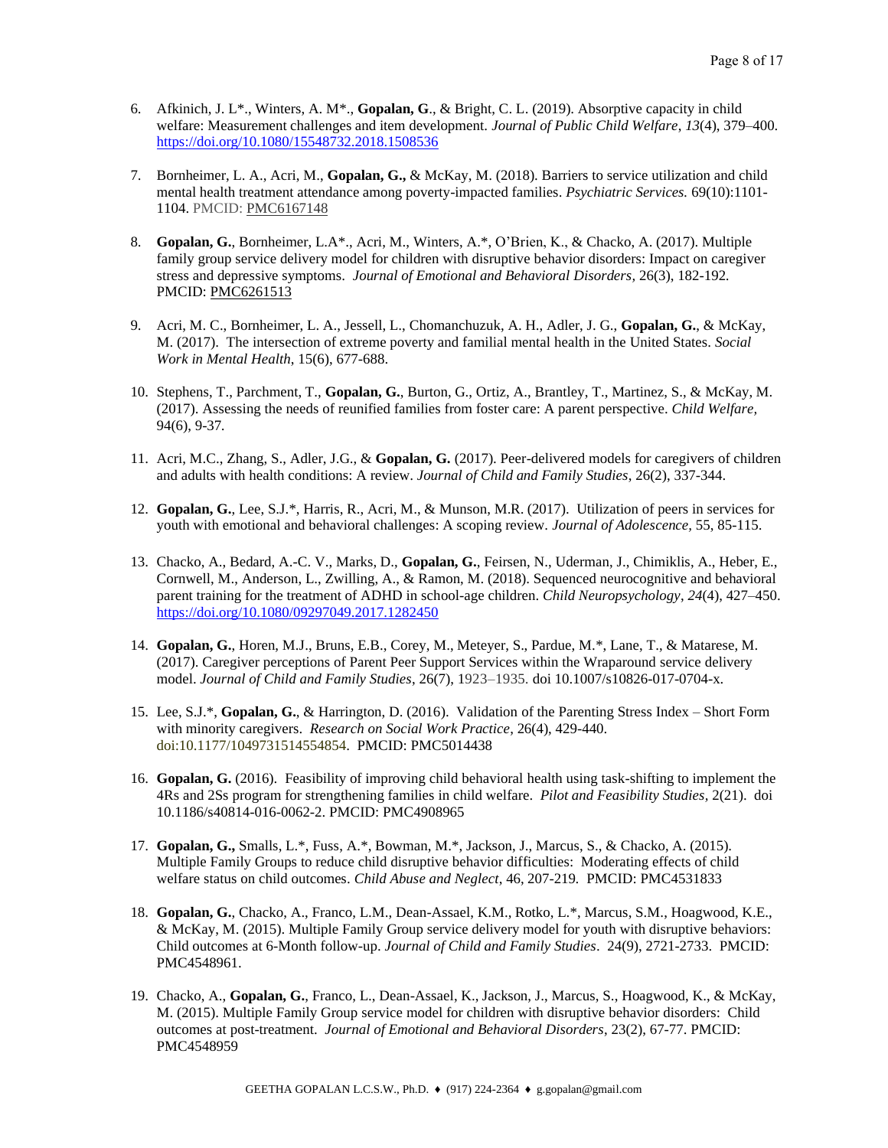- 6. Afkinich, J. L\*., Winters, A. M\*., **Gopalan, G**., & Bright, C. L. (2019). Absorptive capacity in child welfare: Measurement challenges and item development. *Journal of Public Child Welfare*, *13*(4), 379–400. <https://doi.org/10.1080/15548732.2018.1508536>
- 7. Bornheimer, L. A., Acri, M., **Gopalan, G.,** & McKay, M. (2018). Barriers to service utilization and child mental health treatment attendance among poverty-impacted families. *Psychiatric Services.* 69(10):1101- 1104. PMCID: [PMC6167148](https://www-ncbi-nlm-nih-gov.proxy.wexler.hunter.cuny.edu/pmc/articles/PMC6167148/)
- 8. **Gopalan, G.**, Bornheimer, L.A\*., Acri, M., Winters, A.\*, O'Brien, K., & Chacko, A. (2017). Multiple family group service delivery model for children with disruptive behavior disorders: Impact on caregiver stress and depressive symptoms. *Journal of Emotional and Behavioral Disorders,* 26(3), 182-192*.*  PMCID: [PMC6261513](https://www.ncbi.nlm.nih.gov/pmc/articles/PMC6261513/)
- 9. Acri, M. C., Bornheimer, L. A., Jessell, L., Chomanchuzuk, A. H., Adler, J. G., **Gopalan, G.**, & McKay, M. (2017). The intersection of extreme poverty and familial mental health in the United States. *Social Work in Mental Health*, 15(6), 677-688.
- 10. Stephens, T., Parchment, T., **Gopalan, G.**, Burton, G., Ortiz, A., Brantley, T., Martinez, S., & McKay, M. (2017). Assessing the needs of reunified families from foster care: A parent perspective. *Child Welfare,*  94(6), 9-37*.*
- 11. Acri, M.C., Zhang, S., Adler, J.G., & **Gopalan, G.** (2017). Peer-delivered models for caregivers of children and adults with health conditions: A review*. Journal of Child and Family Studies*, 26(2), 337-344.
- 12. **Gopalan, G.**, Lee, S.J.\*, Harris, R., Acri, M., & Munson, M.R. (2017). Utilization of peers in services for youth with emotional and behavioral challenges: A scoping review. *Journal of Adolescence,* 55, 85-115.
- 13. Chacko, A., Bedard, A.-C. V., Marks, D., **Gopalan, G.**, Feirsen, N., Uderman, J., Chimiklis, A., Heber, E., Cornwell, M., Anderson, L., Zwilling, A., & Ramon, M. (2018). Sequenced neurocognitive and behavioral parent training for the treatment of ADHD in school-age children. *Child Neuropsychology*, *24*(4), 427–450. <https://doi.org/10.1080/09297049.2017.1282450>
- 14. **Gopalan, G.**, Horen, M.J., Bruns, E.B., Corey, M., Meteyer, S., Pardue, M.\*, Lane, T., & Matarese, M. (2017). Caregiver perceptions of Parent Peer Support Services within the Wraparound service delivery model. *Journal of Child and Family Studies*, 26(7), 1923–1935. doi 10.1007/s10826-017-0704-x.
- 15. Lee, S.J.\*, **Gopalan, G.**, & Harrington, D. (2016). Validation of the Parenting Stress Index Short Form with minority caregivers. *Research on Social Work Practice*, 26(4), 429-440. doi:10.1177/1049731514554854. PMCID: PMC5014438
- 16. **Gopalan, G.** (2016). Feasibility of improving child behavioral health using task-shifting to implement the 4Rs and 2Ss program for strengthening families in child welfare. *Pilot and Feasibility Studies,* 2(21). doi 10.1186/s40814-016-0062-2. PMCID: PMC4908965
- 17. **Gopalan, G.,** Smalls, L.\*, Fuss, A.\*, Bowman, M.\*, Jackson, J., Marcus, S., & Chacko, A. (2015). Multiple Family Groups to reduce child disruptive behavior difficulties: Moderating effects of child welfare status on child outcomes. *Child Abuse and Neglect*, 46, 207-219*.* PMCID: PMC4531833
- 18. **Gopalan, G.**, Chacko, A., Franco, L.M., Dean-Assael, K.M., Rotko, L.\*, Marcus, S.M., Hoagwood, K.E., & McKay, M. (2015). Multiple Family Group service delivery model for youth with disruptive behaviors: Child outcomes at 6-Month follow-up. *Journal of Child and Family Studies*. 24(9), 2721-2733. PMCID: PMC4548961.
- 19. Chacko, A., **Gopalan, G.**, Franco, L., Dean-Assael, K., Jackson, J., Marcus, S., Hoagwood, K., & McKay, M. (2015). Multiple Family Group service model for children with disruptive behavior disorders: Child outcomes at post-treatment. *Journal of Emotional and Behavioral Disorders*, 23(2), 67-77. PMCID: PMC4548959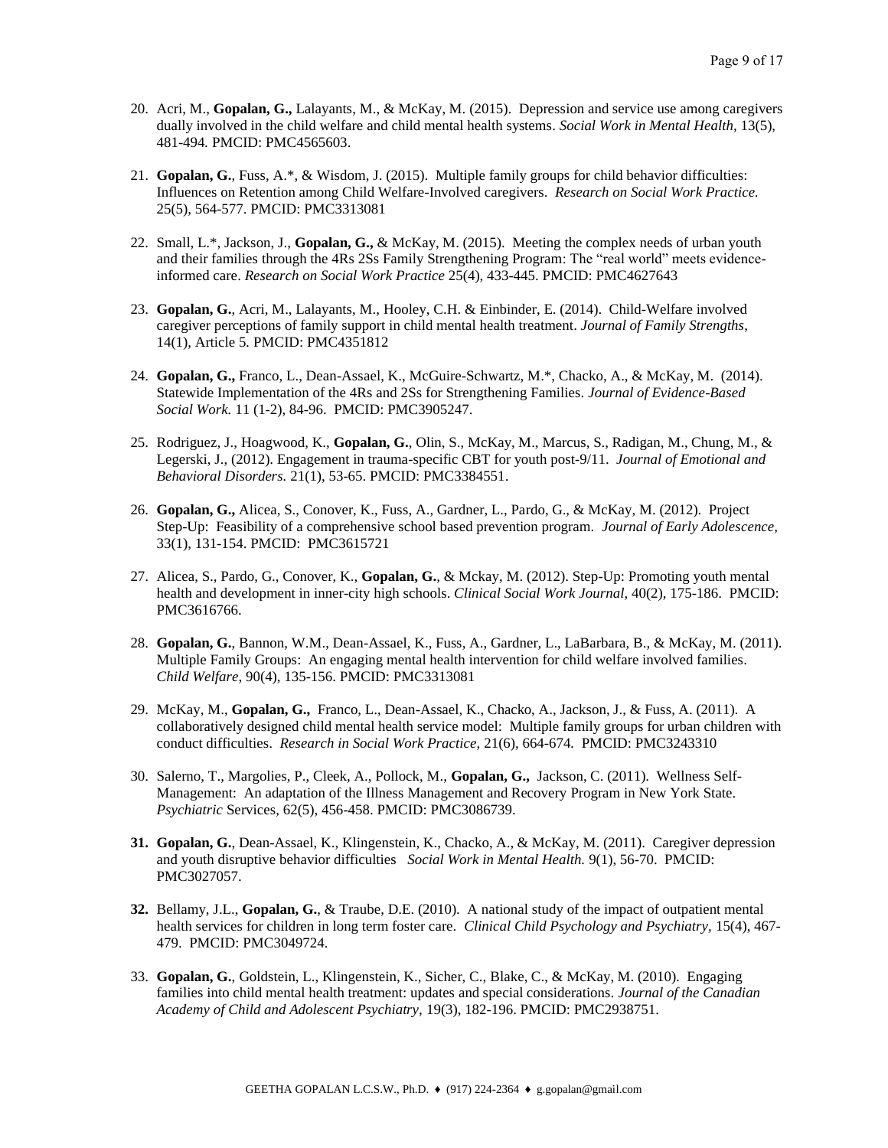- 20. Acri, M., **Gopalan, G.,** Lalayants, M., & McKay, M. (2015). Depression and service use among caregivers dually involved in the child welfare and child mental health systems. *Social Work in Mental Health,* 13(5), 481-494*.* PMCID: PMC4565603.
- 21. **Gopalan, G.**, Fuss, A.\*, & Wisdom, J. (2015). Multiple family groups for child behavior difficulties: Influences on Retention among Child Welfare-Involved caregivers. *Research on Social Work Practice.*  25(5), 564-577. PMCID: PMC3313081
- 22. Small, L.\*, Jackson, J., **Gopalan, G.,** & McKay, M. (2015). Meeting the complex needs of urban youth and their families through the 4Rs 2Ss Family Strengthening Program: The "real world" meets evidenceinformed care. *Research on Social Work Practice* 25(4)*,* 433-445. PMCID: PMC4627643
- 23. **Gopalan, G.**, Acri, M., Lalayants, M., Hooley, C.H. & Einbinder, E. (2014). Child-Welfare involved caregiver perceptions of family support in child mental health treatment. *Journal of Family Strengths*, 14(1), Article 5*.* PMCID: PMC4351812
- 24. **Gopalan, G.,** Franco, L., Dean-Assael, K., McGuire-Schwartz, M.\*, Chacko, A., & McKay, M. (2014). Statewide Implementation of the 4Rs and 2Ss for Strengthening Families. *Journal of Evidence-Based Social Work.* 11 (1-2), 84-96. PMCID: PMC3905247.
- 25. Rodriguez, J., Hoagwood, K., **Gopalan, G.**, Olin, S., McKay, M., Marcus, S., Radigan, M., Chung, M., & Legerski, J., (2012). Engagement in trauma-specific CBT for youth post-9/11. *Journal of Emotional and Behavioral Disorders.* 21(1), 53-65. PMCID: PMC3384551.
- 26. **Gopalan, G.,** Alicea, S., Conover, K., Fuss, A., Gardner, L., Pardo, G., & McKay, M. (2012). Project Step-Up: Feasibility of a comprehensive school based prevention program. *Journal of Early Adolescence,*  33(1), 131-154. PMCID: PMC3615721
- 27. Alicea, S., Pardo, G., Conover, K., **Gopalan, G.**, & Mckay, M. (2012). Step-Up: Promoting youth mental health and development in inner-city high schools. *Clinical Social Work Journal*, 40(2), 175-186. PMCID: PMC3616766.
- 28. **Gopalan, G.**, Bannon, W.M., Dean-Assael, K., Fuss, A., Gardner, L., LaBarbara, B., & McKay, M. (2011). Multiple Family Groups: An engaging mental health intervention for child welfare involved families. *Child Welfare*, 90(4), 135-156. PMCID: PMC3313081
- 29. McKay, M., **Gopalan, G.,** Franco, L., Dean-Assael, K., Chacko, A., Jackson, J., & Fuss, A. (2011). A collaboratively designed child mental health service model: Multiple family groups for urban children with conduct difficulties. *Research in Social Work Practice,* 21(6), 664-674*.* PMCID: PMC3243310
- 30. Salerno, T., Margolies, P., Cleek, A., Pollock, M., **Gopalan, G.,** Jackson, C. (2011). Wellness Self-Management: An adaptation of the Illness Management and Recovery Program in New York State. *Psychiatric* Services, 62(5), 456-458. PMCID: PMC3086739.
- **31. Gopalan, G.**, Dean-Assael, K., Klingenstein, K., Chacko, A., & McKay, M. (2011). Caregiver depression and youth disruptive behavior difficulties *Social Work in Mental Health.* 9(1), 56-70. PMCID: PMC3027057.
- **32.** Bellamy, J.L., **Gopalan, G.**, & Traube, D.E. (2010). A national study of the impact of outpatient mental health services for children in long term foster care. *Clinical Child Psychology and Psychiatry,* 15(4), 467- 479. PMCID[: PMC3049724.](http://www.pubmedcentral.gov/articlerender.fcgi?tool=nihms&artid=3049724)
- 33. **Gopalan, G.**, Goldstein, L., Klingenstein, K., Sicher, C., Blake, C., & McKay, M. (2010). Engaging families into child mental health treatment: updates and special considerations. *Journal of the Canadian Academy of Child and Adolescent Psychiatry,* 19(3), 182-196. PMCID: PMC2938751.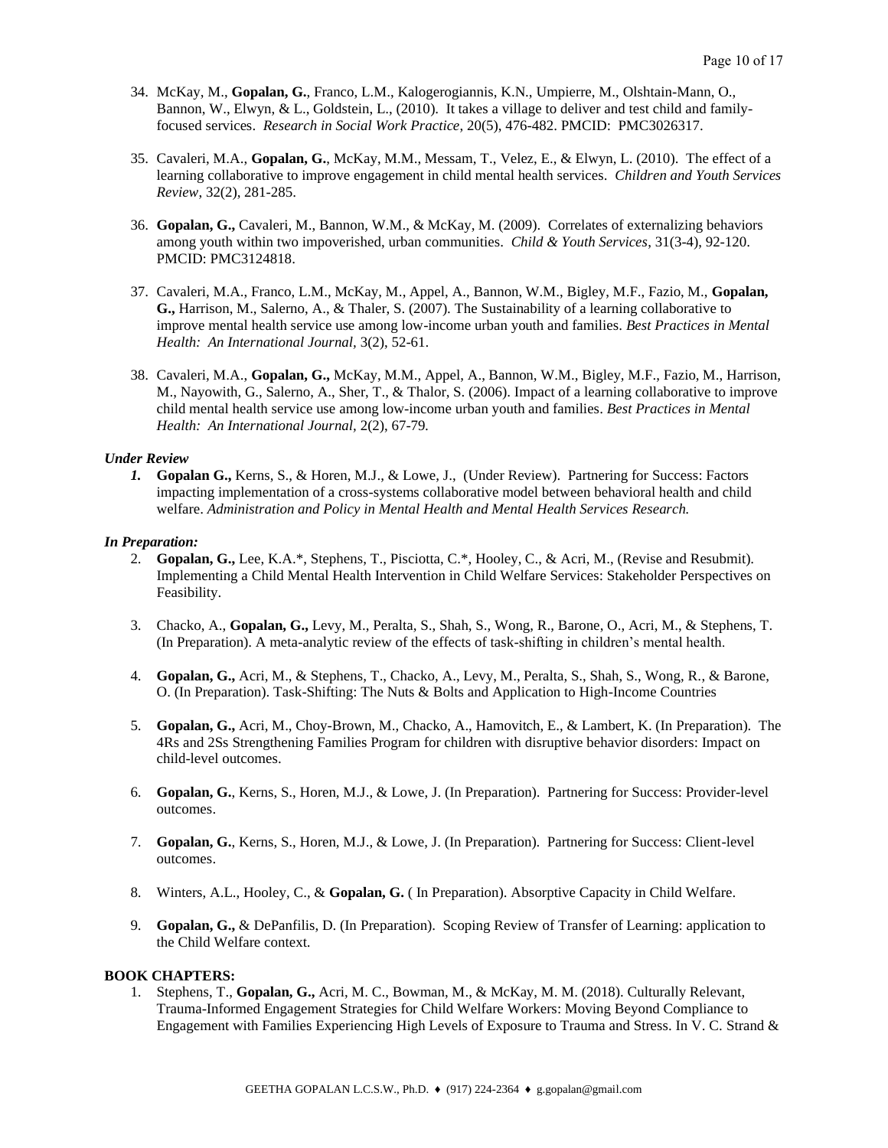- 34. McKay, M., **Gopalan, G.**, Franco, L.M., Kalogerogiannis, K.N., Umpierre, M., Olshtain-Mann, O., Bannon, W., Elwyn, & L., Goldstein, L., (2010). It takes a village to deliver and test child and familyfocused services. *Research in Social Work Practice*, 20(5), 476-482. PMCID: PMC3026317.
- 35. Cavaleri, M.A., **Gopalan, G.**, McKay, M.M., Messam, T., Velez, E., & Elwyn, L. (2010). The effect of a learning collaborative to improve engagement in child mental health services. *Children and Youth Services Review*, 32(2), 281-285.
- 36. **Gopalan, G.,** Cavaleri, M., Bannon, W.M., & McKay, M. (2009). Correlates of externalizing behaviors among youth within two impoverished, urban communities. *Child & Youth Services*, 31(3-4), 92-120. PMCID: PMC3124818.
- 37. Cavaleri, M.A., Franco, L.M., McKay, M., Appel, A., Bannon, W.M., Bigley, M.F., Fazio, M., **Gopalan, G.,** Harrison, M., Salerno, A., & Thaler, S. (2007). The Sustainability of a learning collaborative to improve mental health service use among low-income urban youth and families. *Best Practices in Mental Health: An International Journal,* 3(2), 52-61.
- 38. Cavaleri, M.A., **Gopalan, G.,** McKay, M.M., Appel, A., Bannon, W.M., Bigley, M.F., Fazio, M., Harrison, M., Nayowith, G., Salerno, A., Sher, T., & Thalor, S. (2006). Impact of a learning collaborative to improve child mental health service use among low-income urban youth and families. *Best Practices in Mental Health: An International Journal,* 2(2), 67-79*.*

### *Under Review*

*1.* **Gopalan G.,** Kerns, S., & Horen, M.J., & Lowe, J., (Under Review). Partnering for Success: Factors impacting implementation of a cross-systems collaborative model between behavioral health and child welfare. *Administration and Policy in Mental Health and Mental Health Services Research.*

### *In Preparation:*

- 2. **Gopalan, G.,** Lee, K.A.\*, Stephens, T., Pisciotta, C.\*, Hooley, C., & Acri, M., (Revise and Resubmit). Implementing a Child Mental Health Intervention in Child Welfare Services: Stakeholder Perspectives on Feasibility.
- 3. Chacko, A., **Gopalan, G.,** Levy, M., Peralta, S., Shah, S., Wong, R., Barone, O., Acri, M., & Stephens, T. (In Preparation). A meta-analytic review of the effects of task-shifting in children's mental health.
- 4. **Gopalan, G.,** Acri, M., & Stephens, T., Chacko, A., Levy, M., Peralta, S., Shah, S., Wong, R., & Barone, O. (In Preparation). Task-Shifting: The Nuts & Bolts and Application to High-Income Countries
- 5. **Gopalan, G.,** Acri, M., Choy-Brown, M., Chacko, A., Hamovitch, E., & Lambert, K. (In Preparation). The 4Rs and 2Ss Strengthening Families Program for children with disruptive behavior disorders: Impact on child-level outcomes.
- 6. **Gopalan, G.**, Kerns, S., Horen, M.J., & Lowe, J. (In Preparation). Partnering for Success: Provider-level outcomes.
- 7. **Gopalan, G.**, Kerns, S., Horen, M.J., & Lowe, J. (In Preparation). Partnering for Success: Client-level outcomes.
- 8. Winters, A.L., Hooley, C., & **Gopalan, G.** ( In Preparation). Absorptive Capacity in Child Welfare.
- 9. **Gopalan, G.,** & DePanfilis, D. (In Preparation). Scoping Review of Transfer of Learning: application to the Child Welfare context.

### **BOOK CHAPTERS:**

1. Stephens, T., **Gopalan, G.,** Acri, M. C., Bowman, M., & McKay, M. M. (2018). Culturally Relevant, Trauma-Informed Engagement Strategies for Child Welfare Workers: Moving Beyond Compliance to Engagement with Families Experiencing High Levels of Exposure to Trauma and Stress. In V. C. Strand &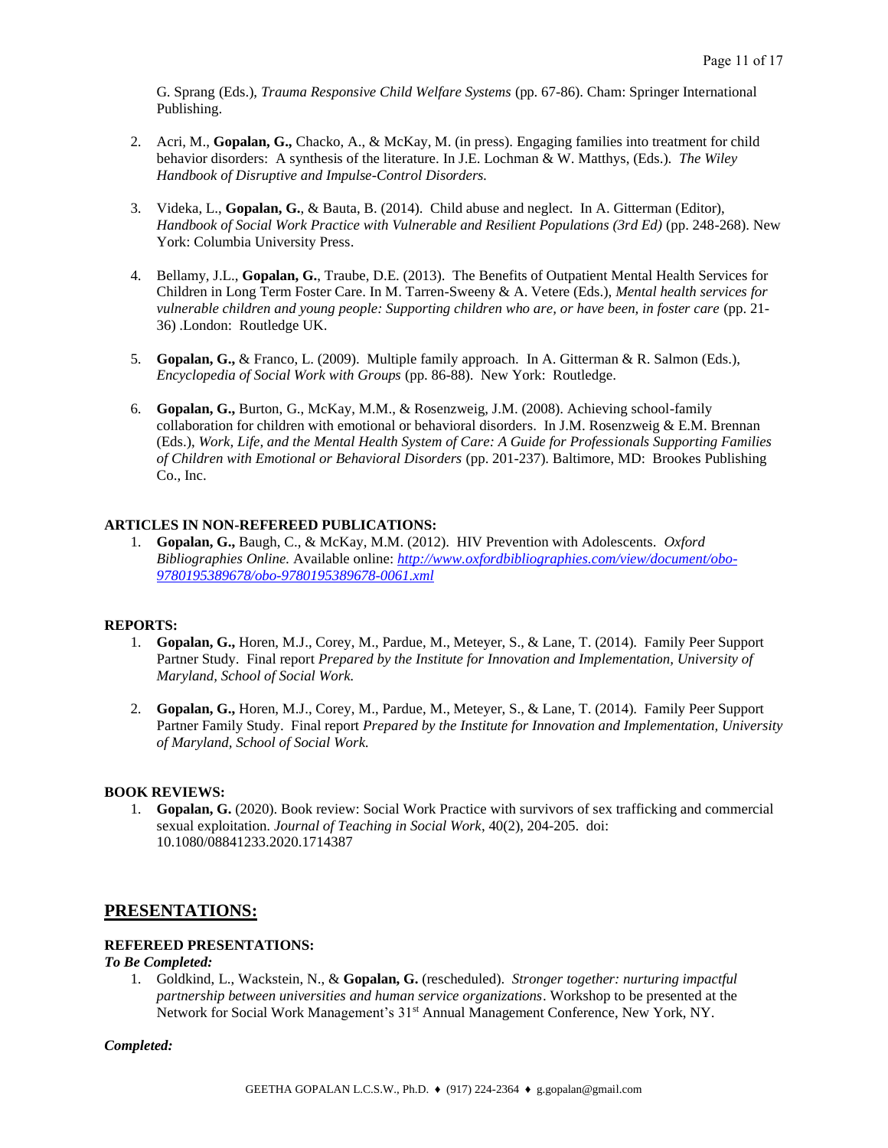G. Sprang (Eds.), *Trauma Responsive Child Welfare Systems* (pp. 67-86). Cham: Springer International Publishing.

- 2. Acri, M., **Gopalan, G.,** Chacko, A., & McKay, M. (in press). Engaging families into treatment for child behavior disorders: A synthesis of the literature. In J.E. Lochman & W. Matthys, (Eds.). *The Wiley Handbook of Disruptive and Impulse-Control Disorders.*
- 3. Videka, L., **Gopalan, G.**, & Bauta, B. (2014). Child abuse and neglect. In A. Gitterman (Editor), *Handbook of Social Work Practice with Vulnerable and Resilient Populations (3rd Ed)* (pp. 248-268). New York: Columbia University Press.
- 4. Bellamy, J.L., **Gopalan, G.**, Traube, D.E. (2013). The Benefits of Outpatient Mental Health Services for Children in Long Term Foster Care. In M. Tarren-Sweeny & A. Vetere (Eds.), *Mental health services for vulnerable children and young people: Supporting children who are, or have been, in foster care* (pp. 21- 36) .London: Routledge UK.
- 5. **Gopalan, G.,** & Franco, L. (2009). Multiple family approach. In A. Gitterman & R. Salmon (Eds.), *Encyclopedia of Social Work with Groups* (pp. 86-88). New York: Routledge.
- 6. **Gopalan, G.,** Burton, G., McKay, M.M., & Rosenzweig, J.M. (2008). Achieving school-family collaboration for children with emotional or behavioral disorders. In J.M. Rosenzweig  $&$  E.M. Brennan (Eds.), *Work, Life, and the Mental Health System of Care: A Guide for Professionals Supporting Families of Children with Emotional or Behavioral Disorders* (pp. 201-237). Baltimore, MD: Brookes Publishing Co., Inc.

### **ARTICLES IN NON-REFEREED PUBLICATIONS:**

1. **Gopalan, G.,** Baugh, C., & McKay, M.M. (2012). HIV Prevention with Adolescents. *Oxford Bibliographies Online.* Available online: *[http://www.oxfordbibliographies.com/view/document/obo-](http://www.oxfordbibliographies.com/view/document/obo-9780195389678/obo-9780195389678-0061.xml)[9780195389678/obo-9780195389678-0061.xml](http://www.oxfordbibliographies.com/view/document/obo-9780195389678/obo-9780195389678-0061.xml)*

### **REPORTS:**

- 1. **Gopalan, G.,** Horen, M.J., Corey, M., Pardue, M., Meteyer, S., & Lane, T. (2014). Family Peer Support Partner Study. Final report *Prepared by the Institute for Innovation and Implementation, University of Maryland, School of Social Work.*
- 2. **Gopalan, G.,** Horen, M.J., Corey, M., Pardue, M., Meteyer, S., & Lane, T. (2014). Family Peer Support Partner Family Study. Final report *Prepared by the Institute for Innovation and Implementation, University of Maryland, School of Social Work.*

### **BOOK REVIEWS:**

1. **Gopalan, G.** (2020). Book review: Social Work Practice with survivors of sex trafficking and commercial sexual exploitation. *Journal of Teaching in Social Work*, 40(2), 204-205. doi: 10.1080/08841233.2020.1714387

# **PRESENTATIONS:**

### **REFEREED PRESENTATIONS:**

### *To Be Completed:*

1. Goldkind, L., Wackstein, N., & **Gopalan, G.** (rescheduled). *Stronger together: nurturing impactful partnership between universities and human service organizations*. Workshop to be presented at the Network for Social Work Management's 31st Annual Management Conference, New York, NY.

#### *Completed:*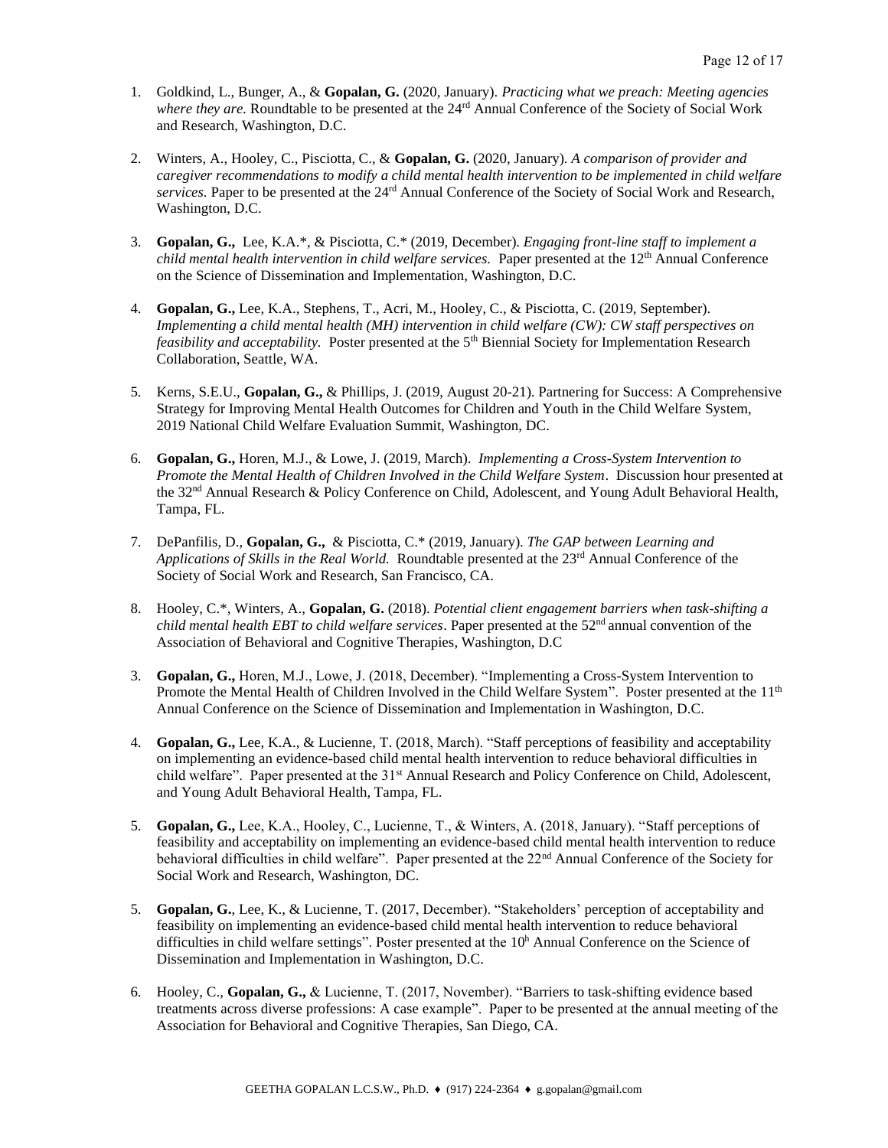- 1. Goldkind, L., Bunger, A., & **Gopalan, G.** (2020, January). *Practicing what we preach: Meeting agencies where they are.* Roundtable to be presented at the 24rd Annual Conference of the Society of Social Work and Research, Washington, D.C.
- 2. Winters, A., Hooley, C., Pisciotta, C., & **Gopalan, G.** (2020, January). *A comparison of provider and caregiver recommendations to modify a child mental health intervention to be implemented in child welfare services.* Paper to be presented at the 24rd Annual Conference of the Society of Social Work and Research, Washington, D.C.
- 3. **Gopalan, G.,** Lee, K.A.\*, & Pisciotta, C.\* (2019, December). *Engaging front-line staff to implement a child mental health intervention in child welfare services.* Paper presented at the 12<sup>th</sup> Annual Conference on the Science of Dissemination and Implementation, Washington, D.C.
- 4. **Gopalan, G.,** Lee, K.A., Stephens, T., Acri, M., Hooley, C., & Pisciotta, C. (2019, September). *Implementing a child mental health (MH) intervention in child welfare (CW): CW staff perspectives on feasibility and acceptability.* Poster presented at the 5<sup>th</sup> Biennial Society for Implementation Research Collaboration, Seattle, WA.
- 5. Kerns, S.E.U., **Gopalan, G.,** & Phillips, J. (2019, August 20-21). Partnering for Success: A Comprehensive Strategy for Improving Mental Health Outcomes for Children and Youth in the Child Welfare System, 2019 National Child Welfare Evaluation Summit, Washington, DC.
- 6. **Gopalan, G.,** Horen, M.J., & Lowe, J. (2019, March). *Implementing a Cross-System Intervention to Promote the Mental Health of Children Involved in the Child Welfare System*. Discussion hour presented at the 32nd Annual Research & Policy Conference on Child, Adolescent, and Young Adult Behavioral Health, Tampa, FL.
- 7. DePanfilis, D., **Gopalan, G.,** & Pisciotta, C.\* (2019, January). *The GAP between Learning and Applications of Skills in the Real World.* Roundtable presented at the 23rd Annual Conference of the Society of Social Work and Research, San Francisco, CA.
- 8. Hooley, C.\*, Winters, A., **Gopalan, G.** (2018). *Potential client engagement barriers when task-shifting a child mental health EBT to child welfare services*. Paper presented at the 52nd annual convention of the Association of Behavioral and Cognitive Therapies, Washington, D.C
- 3. **Gopalan, G.,** Horen, M.J., Lowe, J. (2018, December). "Implementing a Cross-System Intervention to Promote the Mental Health of Children Involved in the Child Welfare System". Poster presented at the 11<sup>th</sup> Annual Conference on the Science of Dissemination and Implementation in Washington, D.C.
- 4. **Gopalan, G.,** Lee, K.A., & Lucienne, T. (2018, March). "Staff perceptions of feasibility and acceptability on implementing an evidence-based child mental health intervention to reduce behavioral difficulties in child welfare". Paper presented at the 31<sup>st</sup> Annual Research and Policy Conference on Child, Adolescent, and Young Adult Behavioral Health, Tampa, FL.
- 5. **Gopalan, G.,** Lee, K.A., Hooley, C., Lucienne, T., & Winters, A. (2018, January). "Staff perceptions of feasibility and acceptability on implementing an evidence-based child mental health intervention to reduce behavioral difficulties in child welfare". Paper presented at the 22<sup>nd</sup> Annual Conference of the Society for Social Work and Research, Washington, DC.
- 5. **Gopalan, G.**, Lee, K., & Lucienne, T. (2017, December). "Stakeholders' perception of acceptability and feasibility on implementing an evidence-based child mental health intervention to reduce behavioral difficulties in child welfare settings". Poster presented at the  $10<sup>h</sup>$  Annual Conference on the Science of Dissemination and Implementation in Washington, D.C.
- 6. Hooley, C., **Gopalan, G.,** & Lucienne, T. (2017, November). "Barriers to task-shifting evidence based treatments across diverse professions: A case example". Paper to be presented at the annual meeting of the Association for Behavioral and Cognitive Therapies, San Diego, CA.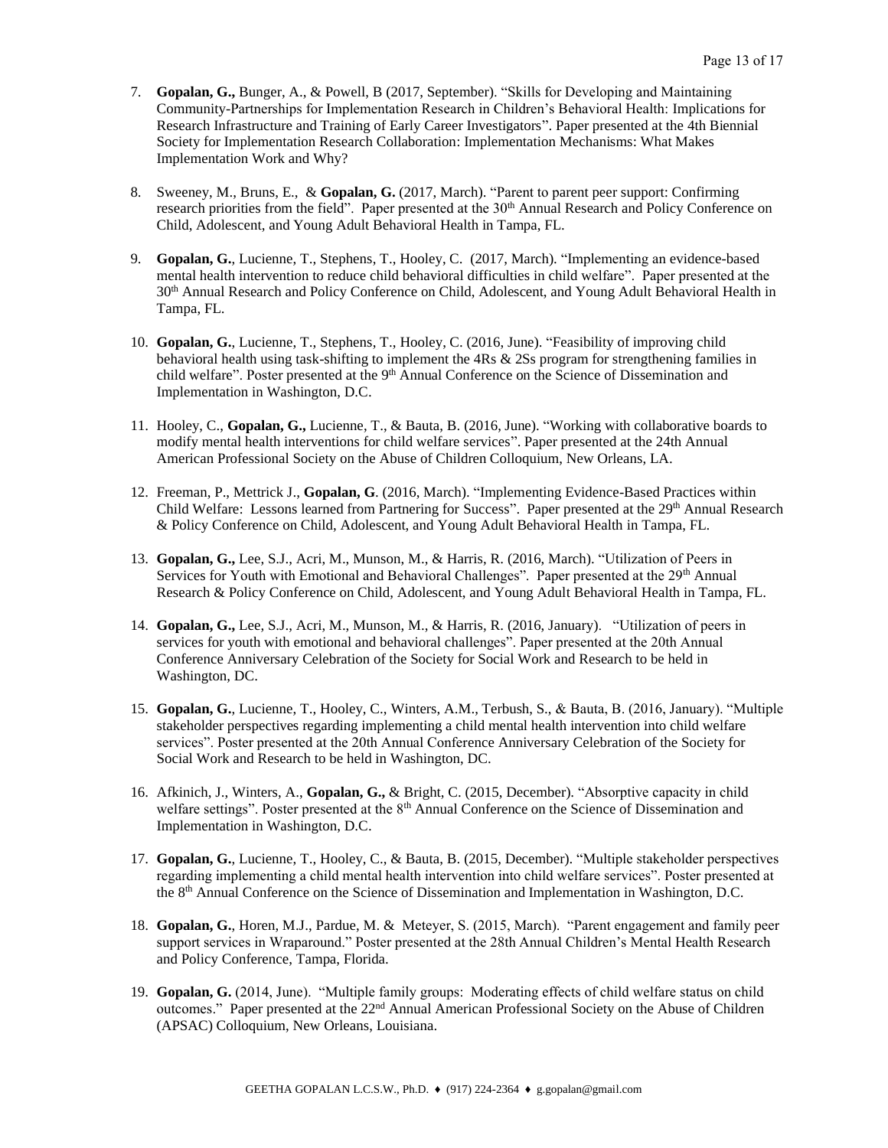- 7. **Gopalan, G.,** Bunger, A., & Powell, B (2017, September). "Skills for Developing and Maintaining Community-Partnerships for Implementation Research in Children's Behavioral Health: Implications for Research Infrastructure and Training of Early Career Investigators". Paper presented at the 4th Biennial Society for Implementation Research Collaboration: Implementation Mechanisms: What Makes Implementation Work and Why?
- 8. Sweeney, M., Bruns, E., & **Gopalan, G.** (2017, March). "Parent to parent peer support: Confirming research priorities from the field". Paper presented at the 30<sup>th</sup> Annual Research and Policy Conference on Child, Adolescent, and Young Adult Behavioral Health in Tampa, FL.
- 9. **Gopalan, G.**, Lucienne, T., Stephens, T., Hooley, C. (2017, March). "Implementing an evidence-based mental health intervention to reduce child behavioral difficulties in child welfare". Paper presented at the 30th Annual Research and Policy Conference on Child, Adolescent, and Young Adult Behavioral Health in Tampa, FL.
- 10. **Gopalan, G.**, Lucienne, T., Stephens, T., Hooley, C. (2016, June). "Feasibility of improving child behavioral health using task-shifting to implement the 4Rs & 2Ss program for strengthening families in child welfare". Poster presented at the 9<sup>th</sup> Annual Conference on the Science of Dissemination and Implementation in Washington, D.C.
- 11. Hooley, C., **Gopalan, G.,** Lucienne, T., & Bauta, B. (2016, June). "Working with collaborative boards to modify mental health interventions for child welfare services". Paper presented at the 24th Annual American Professional Society on the Abuse of Children Colloquium, New Orleans, LA.
- 12. Freeman, P., Mettrick J., **Gopalan, G**. (2016, March). "Implementing Evidence-Based Practices within Child Welfare: Lessons learned from Partnering for Success". Paper presented at the 29<sup>th</sup> Annual Research & Policy Conference on Child, Adolescent, and Young Adult Behavioral Health in Tampa, FL.
- 13. **Gopalan, G.,** Lee, S.J., Acri, M., Munson, M., & Harris, R. (2016, March). "Utilization of Peers in Services for Youth with Emotional and Behavioral Challenges". Paper presented at the 29<sup>th</sup> Annual Research & Policy Conference on Child, Adolescent, and Young Adult Behavioral Health in Tampa, FL.
- 14. **Gopalan, G.,** Lee, S.J., Acri, M., Munson, M., & Harris, R. (2016, January). "Utilization of peers in services for youth with emotional and behavioral challenges". Paper presented at the 20th Annual Conference Anniversary Celebration of the Society for Social Work and Research to be held in Washington, DC.
- 15. **Gopalan, G.**, Lucienne, T., Hooley, C., Winters, A.M., Terbush, S., & Bauta, B. (2016, January). "Multiple stakeholder perspectives regarding implementing a child mental health intervention into child welfare services". Poster presented at the 20th Annual Conference Anniversary Celebration of the Society for Social Work and Research to be held in Washington, DC.
- 16. Afkinich, J., Winters, A., **Gopalan, G.,** & Bright, C. (2015, December). "Absorptive capacity in child welfare settings". Poster presented at the 8<sup>th</sup> Annual Conference on the Science of Dissemination and Implementation in Washington, D.C.
- 17. **Gopalan, G.**, Lucienne, T., Hooley, C., & Bauta, B. (2015, December). "Multiple stakeholder perspectives regarding implementing a child mental health intervention into child welfare services". Poster presented at the 8th Annual Conference on the Science of Dissemination and Implementation in Washington, D.C.
- 18. **Gopalan, G.**, Horen, M.J., Pardue, M. & Meteyer, S. (2015, March). "Parent engagement and family peer support services in Wraparound." Poster presented at the 28th Annual Children's Mental Health Research and Policy Conference, Tampa, Florida.
- 19. **Gopalan, G.** (2014, June). "Multiple family groups: Moderating effects of child welfare status on child outcomes." Paper presented at the 22<sup>nd</sup> Annual American Professional Society on the Abuse of Children (APSAC) Colloquium, New Orleans, Louisiana.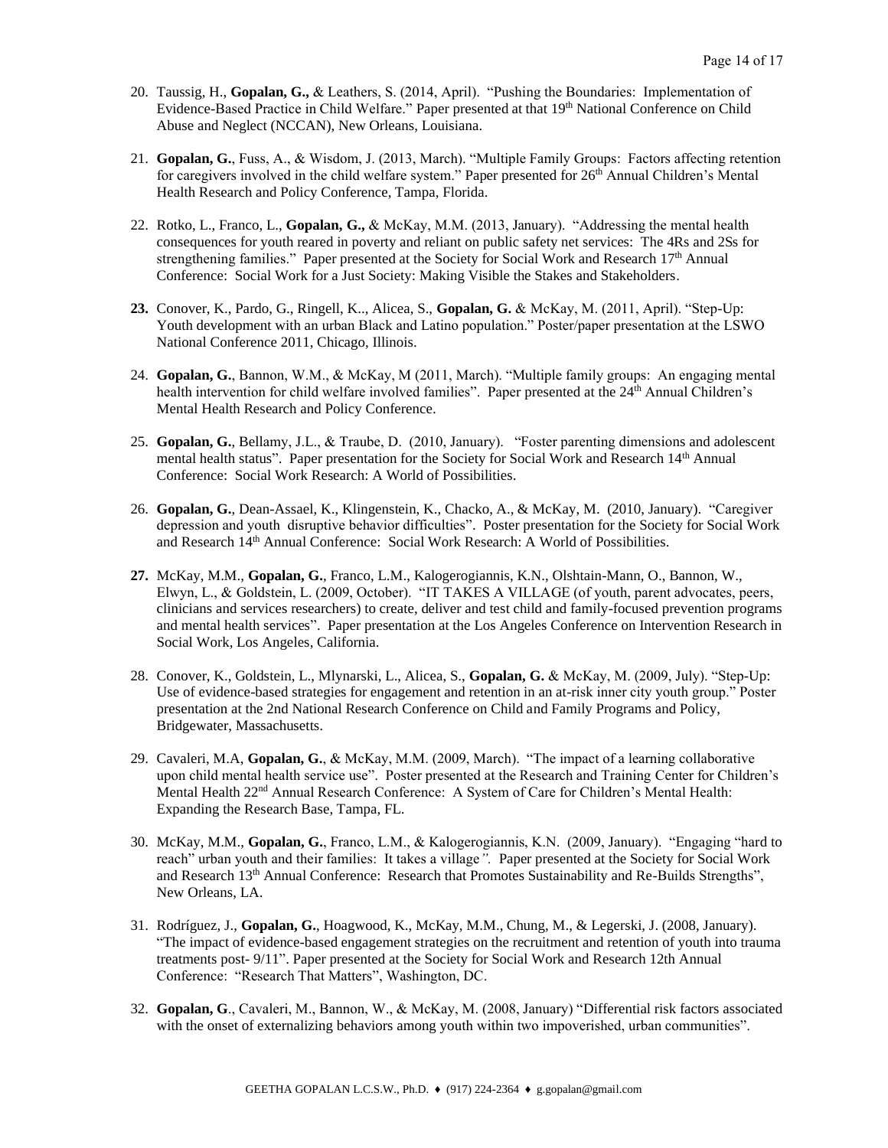- 20. Taussig, H., **Gopalan, G.,** & Leathers, S. (2014, April). "Pushing the Boundaries: Implementation of Evidence-Based Practice in Child Welfare." Paper presented at that 19<sup>th</sup> National Conference on Child Abuse and Neglect (NCCAN), New Orleans, Louisiana.
- 21. **Gopalan, G.**, Fuss, A., & Wisdom, J. (2013, March). "Multiple Family Groups: Factors affecting retention for caregivers involved in the child welfare system." Paper presented for 26<sup>th</sup> Annual Children's Mental Health Research and Policy Conference, Tampa, Florida.
- 22. Rotko, L., Franco, L., **Gopalan, G.,** & McKay, M.M. (2013, January). "Addressing the mental health consequences for youth reared in poverty and reliant on public safety net services: The 4Rs and 2Ss for strengthening families." Paper presented at the Society for Social Work and Research 17<sup>th</sup> Annual Conference: Social Work for a Just Society: Making Visible the Stakes and Stakeholders.
- **23.** Conover, K., Pardo, G., Ringell, K.., Alicea, S., **Gopalan, G.** & McKay, M. (2011, April). "Step-Up: Youth development with an urban Black and Latino population." Poster/paper presentation at the LSWO National Conference 2011, Chicago, Illinois.
- 24. **Gopalan, G.**, Bannon, W.M., & McKay, M (2011, March). "Multiple family groups: An engaging mental health intervention for child welfare involved families". Paper presented at the 24<sup>th</sup> Annual Children's Mental Health Research and Policy Conference.
- 25. **Gopalan, G.**, Bellamy, J.L., & Traube, D. (2010, January). "Foster parenting dimensions and adolescent mental health status". Paper presentation for the Society for Social Work and Research 14<sup>th</sup> Annual Conference: Social Work Research: A World of Possibilities.
- 26. **Gopalan, G.**, Dean-Assael, K., Klingenstein, K., Chacko, A., & McKay, M. (2010, January). "Caregiver depression and youth disruptive behavior difficulties". Poster presentation for the Society for Social Work and Research 14th Annual Conference: Social Work Research: A World of Possibilities.
- **27.** McKay, M.M., **Gopalan, G.**, Franco, L.M., Kalogerogiannis, K.N., Olshtain-Mann, O., Bannon, W., Elwyn, L., & Goldstein, L. (2009, October). "IT TAKES A VILLAGE (of youth, parent advocates, peers, clinicians and services researchers) to create, deliver and test child and family-focused prevention programs and mental health services". Paper presentation at the Los Angeles Conference on Intervention Research in Social Work, Los Angeles, California.
- 28. Conover, K., Goldstein, L., Mlynarski, L., Alicea, S., **Gopalan, G.** & McKay, M. (2009, July). "Step-Up: Use of evidence-based strategies for engagement and retention in an at-risk inner city youth group." Poster presentation at the 2nd National Research Conference on Child and Family Programs and Policy, Bridgewater, Massachusetts.
- 29. Cavaleri, M.A, **Gopalan, G.**, & McKay, M.M. (2009, March). "The impact of a learning collaborative upon child mental health service use". Poster presented at the Research and Training Center for Children's Mental Health 22<sup>nd</sup> Annual Research Conference: A System of Care for Children's Mental Health: Expanding the Research Base, Tampa, FL.
- 30. McKay, M.M., **Gopalan, G.**, Franco, L.M., & Kalogerogiannis, K.N. (2009, January). "Engaging "hard to reach" urban youth and their families: It takes a village*".* Paper presented at the Society for Social Work and Research 13<sup>th</sup> Annual Conference: Research that Promotes Sustainability and Re-Builds Strengths", New Orleans, LA.
- 31. Rodríguez, J., **Gopalan, G.**, Hoagwood, K., McKay, M.M., Chung, M., & Legerski, J. (2008, January). "The impact of evidence-based engagement strategies on the recruitment and retention of youth into trauma treatments post- 9/11". Paper presented at the Society for Social Work and Research 12th Annual Conference: "Research That Matters", Washington, DC.
- 32. **Gopalan, G**., Cavaleri, M., Bannon, W., & McKay, M. (2008, January) "Differential risk factors associated with the onset of externalizing behaviors among youth within two impoverished, urban communities".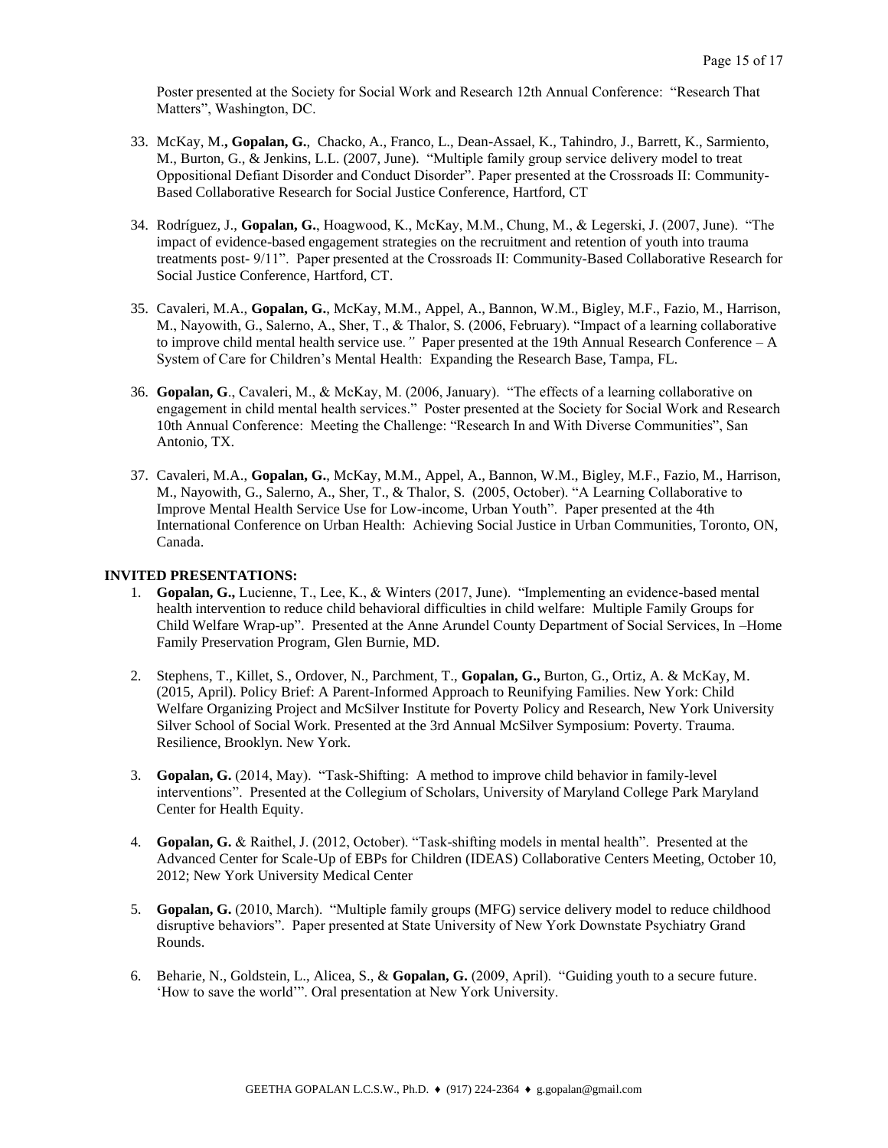Poster presented at the Society for Social Work and Research 12th Annual Conference: "Research That Matters", Washington, DC.

- 33. McKay, M.**, Gopalan, G.**, Chacko, A., Franco, L., Dean-Assael, K., Tahindro, J., Barrett, K., Sarmiento, M., Burton, G., & Jenkins, L.L. (2007, June). "Multiple family group service delivery model to treat Oppositional Defiant Disorder and Conduct Disorder". Paper presented at the Crossroads II: Community-Based Collaborative Research for Social Justice Conference, Hartford, CT
- 34. Rodríguez, J., **Gopalan, G.**, Hoagwood, K., McKay, M.M., Chung, M., & Legerski, J. (2007, June). "The impact of evidence-based engagement strategies on the recruitment and retention of youth into trauma treatments post- 9/11". Paper presented at the Crossroads II: Community-Based Collaborative Research for Social Justice Conference, Hartford, CT.
- 35. Cavaleri, M.A., **Gopalan, G.**, McKay, M.M., Appel, A., Bannon, W.M., Bigley, M.F., Fazio, M., Harrison, M., Nayowith, G., Salerno, A., Sher, T., & Thalor, S. (2006, February). "Impact of a learning collaborative to improve child mental health service use*."* Paper presented at the 19th Annual Research Conference – A System of Care for Children's Mental Health: Expanding the Research Base, Tampa, FL.
- 36. **Gopalan, G**., Cavaleri, M., & McKay, M. (2006, January). "The effects of a learning collaborative on engagement in child mental health services." Poster presented at the Society for Social Work and Research 10th Annual Conference: Meeting the Challenge: "Research In and With Diverse Communities", San Antonio, TX.
- 37. Cavaleri, M.A., **Gopalan, G.**, McKay, M.M., Appel, A., Bannon, W.M., Bigley, M.F., Fazio, M., Harrison, M., Nayowith, G., Salerno, A., Sher, T., & Thalor, S. (2005, October). "A Learning Collaborative to Improve Mental Health Service Use for Low-income, Urban Youth". Paper presented at the 4th International Conference on Urban Health: Achieving Social Justice in Urban Communities, Toronto, ON, Canada.

### **INVITED PRESENTATIONS:**

- 1. **Gopalan, G.,** Lucienne, T., Lee, K., & Winters (2017, June). "Implementing an evidence-based mental health intervention to reduce child behavioral difficulties in child welfare: Multiple Family Groups for Child Welfare Wrap-up". Presented at the Anne Arundel County Department of Social Services, In –Home Family Preservation Program, Glen Burnie, MD.
- 2. Stephens, T., Killet, S., Ordover, N., Parchment, T., **Gopalan, G.,** Burton, G., Ortiz, A. & McKay, M. (2015, April). Policy Brief: A Parent-Informed Approach to Reunifying Families. New York: Child Welfare Organizing Project and McSilver Institute for Poverty Policy and Research, New York University Silver School of Social Work. Presented at the 3rd Annual McSilver Symposium: Poverty. Trauma. Resilience, Brooklyn. New York.
- 3. **Gopalan, G.** (2014, May). "Task-Shifting: A method to improve child behavior in family-level interventions". Presented at the Collegium of Scholars, University of Maryland College Park Maryland Center for Health Equity.
- 4. **Gopalan, G.** & Raithel, J. (2012, October). "Task-shifting models in mental health". Presented at the Advanced Center for Scale-Up of EBPs for Children (IDEAS) Collaborative Centers Meeting, October 10, 2012; New York University Medical Center
- 5. **Gopalan, G.** (2010, March). "Multiple family groups (MFG) service delivery model to reduce childhood disruptive behaviors". Paper presented at State University of New York Downstate Psychiatry Grand Rounds.
- 6. Beharie, N., Goldstein, L., Alicea, S., & **Gopalan, G.** (2009, April). "Guiding youth to a secure future. 'How to save the world'". Oral presentation at New York University.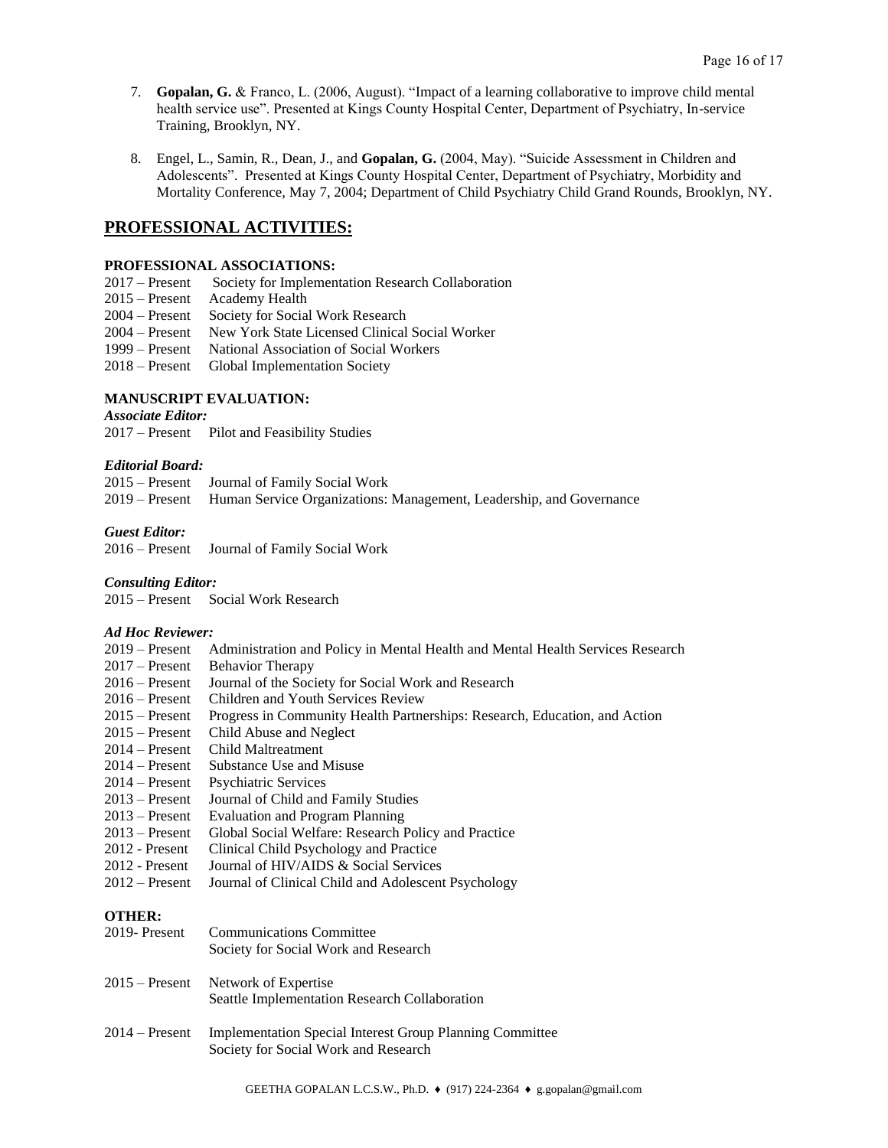- 7. **Gopalan, G.** & Franco, L. (2006, August). "Impact of a learning collaborative to improve child mental health service use". Presented at Kings County Hospital Center, Department of Psychiatry, In-service Training, Brooklyn, NY.
- 8. Engel, L., Samin, R., Dean, J., and **Gopalan, G.** (2004, May). "Suicide Assessment in Children and Adolescents". Presented at Kings County Hospital Center, Department of Psychiatry, Morbidity and Mortality Conference, May 7, 2004; Department of Child Psychiatry Child Grand Rounds, Brooklyn, NY.

# **PROFESSIONAL ACTIVITIES:**

### **PROFESSIONAL ASSOCIATIONS:**

- 2017 Present Society for Implementation Research Collaboration
- 2015 Present Academy Health
- 2004 Present Society for Social Work Research
- 2004 Present New York State Licensed Clinical Social Worker
- 1999 Present National Association of Social Workers
- 2018 Present Global Implementation Society

# **MANUSCRIPT EVALUATION:**

# *Associate Editor:*

2017 – Present Pilot and Feasibility Studies

### *Editorial Board:*

| 2015 – Present Journal of Family Social Work                                       |
|------------------------------------------------------------------------------------|
| 2019 – Present Human Service Organizations: Management, Leadership, and Governance |

### *Guest Editor:*

2016 – Present Journal of Family Social Work

### *Consulting Editor:*

2015 – Present Social Work Research

### *Ad Hoc Reviewer:*

| $2019$ – Present | Administration and Policy in Mental Health and Mental Health Services Research |
|------------------|--------------------------------------------------------------------------------|
| $2017$ – Present | <b>Behavior Therapy</b>                                                        |
| $2016$ – Present | Journal of the Society for Social Work and Research                            |
| $2016 -$ Present | Children and Youth Services Review                                             |
| $2015 -$ Present | Progress in Community Health Partnerships: Research, Education, and Action     |
| $2015$ – Present | Child Abuse and Neglect                                                        |
| $2014 -$ Present | Child Maltreatment                                                             |
| $2014 -$ Present | Substance Use and Misuse                                                       |
| $2014 -$ Present | <b>Psychiatric Services</b>                                                    |
| $2013 -$ Present | Journal of Child and Family Studies                                            |
| $2013$ – Present | <b>Evaluation and Program Planning</b>                                         |
| $2013 -$ Present | Global Social Welfare: Research Policy and Practice                            |
| $2012$ - Present | Clinical Child Psychology and Practice                                         |
| $2012$ - Present | Journal of HIV/AIDS & Social Services                                          |
| $2012$ – Present | Journal of Clinical Child and Adolescent Psychology                            |
| <b>OTHER:</b>    |                                                                                |
| 2019-Present     | <b>Communications Committee</b>                                                |
|                  | Society for Social Work and Research                                           |
|                  |                                                                                |

- 2015 Present Network of Expertise Seattle Implementation Research Collaboration
- 2014 Present Implementation Special Interest Group Planning Committee Society for Social Work and Research